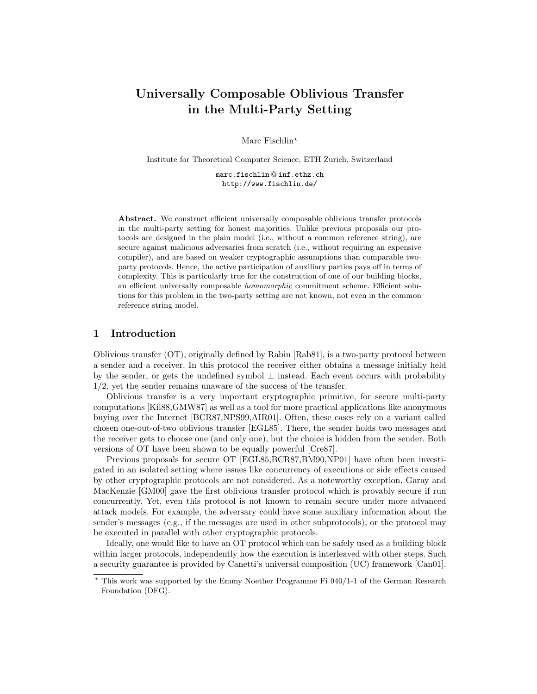# Universally Composable Oblivious Transfer in the Multi-Party Setting

Marc Fischlin\*

Institute for Theoretical Computer Science, ETH Zurich, Switzerland marc.fischlin @ inf.ethz.ch http://www.fischlin.de/

Abstract. We construct efficient universally composable oblivious transfer protocols in the multi-party setting for honest majorities. Unlike previous proposals our protocols are designed in the plain model (i.e., without a common reference string), are secure against malicious adversaries from scratch (i.e., without requiring an expensive compiler), and are based on weaker cryptographic assumptions than comparable twoparty protocols. Hence, the active participation of auxiliary parties pays off in terms of complexity. This is particularly true for the construction of one of our building blocks, an efficient universally composable homomorphic commitment scheme. Efficient solutions for this problem in the two-party setting are not known, not even in the common reference string model.

# 1 Introduction

Oblivious transfer (OT), originally defined by Rabin [Rab81], is a two-party protocol between a sender and a receiver. In this protocol the receiver either obtains a message initially held by the sender, or gets the undefined symbol ⊥ instead. Each event occurs with probability 1/2, yet the sender remains unaware of the success of the transfer.

Oblivious transfer is a very important cryptographic primitive, for secure multi-party computations [Kil88,GMW87] as well as a tool for more practical applications like anonymous buying over the Internet [BCR87,NPS99,AIR01]. Often, these cases rely on a variant called chosen one-out-of-two oblivious transfer [EGL85]. There, the sender holds two messages and the receiver gets to choose one (and only one), but the choice is hidden from the sender. Both versions of OT have been shown to be equally powerful [Cre87].

Previous proposals for secure OT [EGL85,BCR87,BM90,NP01] have often been investigated in an isolated setting where issues like concurrency of executions or side effects caused by other cryptographic protocols are not considered. As a noteworthy exception, Garay and MacKenzie [GM00] gave the first oblivious transfer protocol which is provably secure if run concurrently. Yet, even this protocol is not known to remain secure under more advanced attack models. For example, the adversary could have some auxiliary information about the sender's messages (e.g., if the messages are used in other subprotocols), or the protocol may be executed in parallel with other cryptographic protocols.

Ideally, one would like to have an OT protocol which can be safely used as a building block within larger protocols, independently how the execution is interleaved with other steps. Such a security guarantee is provided by Canetti's universal composition (UC) framework [Can01].

<sup>?</sup> This work was supported by the Emmy Noether Programme Fi 940/1-1 of the German Research Foundation (DFG).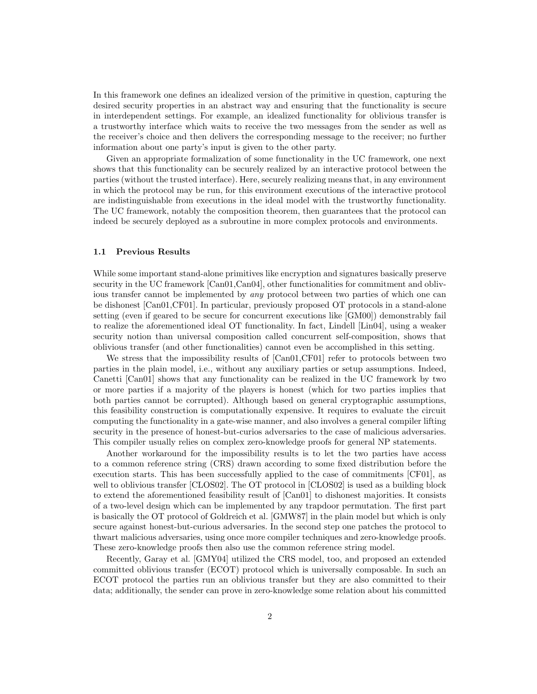In this framework one defines an idealized version of the primitive in question, capturing the desired security properties in an abstract way and ensuring that the functionality is secure in interdependent settings. For example, an idealized functionality for oblivious transfer is a trustworthy interface which waits to receive the two messages from the sender as well as the receiver's choice and then delivers the corresponding message to the receiver; no further information about one party's input is given to the other party.

Given an appropriate formalization of some functionality in the UC framework, one next shows that this functionality can be securely realized by an interactive protocol between the parties (without the trusted interface). Here, securely realizing means that, in any environment in which the protocol may be run, for this environment executions of the interactive protocol are indistinguishable from executions in the ideal model with the trustworthy functionality. The UC framework, notably the composition theorem, then guarantees that the protocol can indeed be securely deployed as a subroutine in more complex protocols and environments.

## 1.1 Previous Results

While some important stand-alone primitives like encryption and signatures basically preserve security in the UC framework [Can01,Can04], other functionalities for commitment and oblivious transfer cannot be implemented by any protocol between two parties of which one can be dishonest [Can01,CF01]. In particular, previously proposed OT protocols in a stand-alone setting (even if geared to be secure for concurrent executions like [GM00]) demonstrably fail to realize the aforementioned ideal OT functionality. In fact, Lindell [Lin04], using a weaker security notion than universal composition called concurrent self-composition, shows that oblivious transfer (and other functionalities) cannot even be accomplished in this setting.

We stress that the impossibility results of  $[Can01,CF01]$  refer to protocols between two parties in the plain model, i.e., without any auxiliary parties or setup assumptions. Indeed, Canetti [Can01] shows that any functionality can be realized in the UC framework by two or more parties if a majority of the players is honest (which for two parties implies that both parties cannot be corrupted). Although based on general cryptographic assumptions, this feasibility construction is computationally expensive. It requires to evaluate the circuit computing the functionality in a gate-wise manner, and also involves a general compiler lifting security in the presence of honest-but-curios adversaries to the case of malicious adversaries. This compiler usually relies on complex zero-knowledge proofs for general NP statements.

Another workaround for the impossibility results is to let the two parties have access to a common reference string (CRS) drawn according to some fixed distribution before the execution starts. This has been successfully applied to the case of commitments [CF01], as well to oblivious transfer [CLOS02]. The OT protocol in [CLOS02] is used as a building block to extend the aforementioned feasibility result of [Can01] to dishonest majorities. It consists of a two-level design which can be implemented by any trapdoor permutation. The first part is basically the OT protocol of Goldreich et al. [GMW87] in the plain model but which is only secure against honest-but-curious adversaries. In the second step one patches the protocol to thwart malicious adversaries, using once more compiler techniques and zero-knowledge proofs. These zero-knowledge proofs then also use the common reference string model.

Recently, Garay et al. [GMY04] utilized the CRS model, too, and proposed an extended committed oblivious transfer (ECOT) protocol which is universally composable. In such an ECOT protocol the parties run an oblivious transfer but they are also committed to their data; additionally, the sender can prove in zero-knowledge some relation about his committed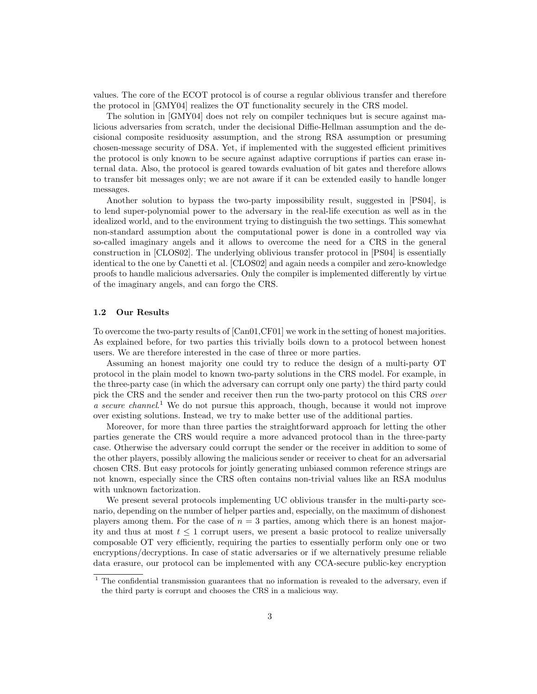values. The core of the ECOT protocol is of course a regular oblivious transfer and therefore the protocol in [GMY04] realizes the OT functionality securely in the CRS model.

The solution in [GMY04] does not rely on compiler techniques but is secure against malicious adversaries from scratch, under the decisional Diffie-Hellman assumption and the decisional composite residuosity assumption, and the strong RSA assumption or presuming chosen-message security of DSA. Yet, if implemented with the suggested efficient primitives the protocol is only known to be secure against adaptive corruptions if parties can erase internal data. Also, the protocol is geared towards evaluation of bit gates and therefore allows to transfer bit messages only; we are not aware if it can be extended easily to handle longer messages.

Another solution to bypass the two-party impossibility result, suggested in [PS04], is to lend super-polynomial power to the adversary in the real-life execution as well as in the idealized world, and to the environment trying to distinguish the two settings. This somewhat non-standard assumption about the computational power is done in a controlled way via so-called imaginary angels and it allows to overcome the need for a CRS in the general construction in [CLOS02]. The underlying oblivious transfer protocol in [PS04] is essentially identical to the one by Canetti et al. [CLOS02] and again needs a compiler and zero-knowledge proofs to handle malicious adversaries. Only the compiler is implemented differently by virtue of the imaginary angels, and can forgo the CRS.

## 1.2 Our Results

To overcome the two-party results of [Can01,CF01] we work in the setting of honest majorities. As explained before, for two parties this trivially boils down to a protocol between honest users. We are therefore interested in the case of three or more parties.

Assuming an honest majority one could try to reduce the design of a multi-party OT protocol in the plain model to known two-party solutions in the CRS model. For example, in the three-party case (in which the adversary can corrupt only one party) the third party could pick the CRS and the sender and receiver then run the two-party protocol on this CRS over a secure channel.<sup>1</sup> We do not pursue this approach, though, because it would not improve over existing solutions. Instead, we try to make better use of the additional parties.

Moreover, for more than three parties the straightforward approach for letting the other parties generate the CRS would require a more advanced protocol than in the three-party case. Otherwise the adversary could corrupt the sender or the receiver in addition to some of the other players, possibly allowing the malicious sender or receiver to cheat for an adversarial chosen CRS. But easy protocols for jointly generating unbiased common reference strings are not known, especially since the CRS often contains non-trivial values like an RSA modulus with unknown factorization.

We present several protocols implementing UC oblivious transfer in the multi-party scenario, depending on the number of helper parties and, especially, on the maximum of dishonest players among them. For the case of  $n = 3$  parties, among which there is an honest majority and thus at most  $t \leq 1$  corrupt users, we present a basic protocol to realize universally composable OT very efficiently, requiring the parties to essentially perform only one or two encryptions/decryptions. In case of static adversaries or if we alternatively presume reliable data erasure, our protocol can be implemented with any CCA-secure public-key encryption

<sup>&</sup>lt;sup>1</sup> The confidential transmission guarantees that no information is revealed to the adversary, even if the third party is corrupt and chooses the CRS in a malicious way.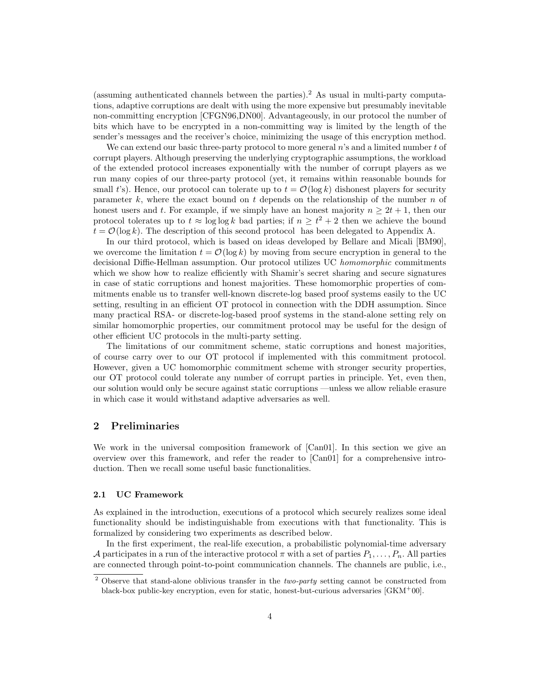(assuming authenticated channels between the parties).<sup>2</sup> As usual in multi-party computations, adaptive corruptions are dealt with using the more expensive but presumably inevitable non-committing encryption [CFGN96,DN00]. Advantageously, in our protocol the number of bits which have to be encrypted in a non-committing way is limited by the length of the sender's messages and the receiver's choice, minimizing the usage of this encryption method.

We can extend our basic three-party protocol to more general  $n$ 's and a limited number t of corrupt players. Although preserving the underlying cryptographic assumptions, the workload of the extended protocol increases exponentially with the number of corrupt players as we run many copies of our three-party protocol (yet, it remains within reasonable bounds for small t's). Hence, our protocol can tolerate up to  $t = \mathcal{O}(\log k)$  dishonest players for security parameter  $k$ , where the exact bound on  $t$  depends on the relationship of the number  $n$  of honest users and t. For example, if we simply have an honest majority  $n \geq 2t + 1$ , then our protocol tolerates up to  $t \approx \log \log k$  bad parties; if  $n \geq t^2 + 2$  then we achieve the bound  $t = \mathcal{O}(\log k)$ . The description of this second protocol has been delegated to Appendix A.

In our third protocol, which is based on ideas developed by Bellare and Micali [BM90], we overcome the limitation  $t = \mathcal{O}(\log k)$  by moving from secure encryption in general to the decisional Diffie-Hellman assumption. Our protocol utilizes UC homomorphic commitments which we show how to realize efficiently with Shamir's secret sharing and secure signatures in case of static corruptions and honest majorities. These homomorphic properties of commitments enable us to transfer well-known discrete-log based proof systems easily to the UC setting, resulting in an efficient OT protocol in connection with the DDH assumption. Since many practical RSA- or discrete-log-based proof systems in the stand-alone setting rely on similar homomorphic properties, our commitment protocol may be useful for the design of other efficient UC protocols in the multi-party setting.

The limitations of our commitment scheme, static corruptions and honest majorities, of course carry over to our OT protocol if implemented with this commitment protocol. However, given a UC homomorphic commitment scheme with stronger security properties, our OT protocol could tolerate any number of corrupt parties in principle. Yet, even then, our solution would only be secure against static corruptions —unless we allow reliable erasure in which case it would withstand adaptive adversaries as well.

# 2 Preliminaries

We work in the universal composition framework of [Can01]. In this section we give an overview over this framework, and refer the reader to [Can01] for a comprehensive introduction. Then we recall some useful basic functionalities.

### 2.1 UC Framework

As explained in the introduction, executions of a protocol which securely realizes some ideal functionality should be indistinguishable from executions with that functionality. This is formalized by considering two experiments as described below.

In the first experiment, the real-life execution, a probabilistic polynomial-time adversary A participates in a run of the interactive protocol  $\pi$  with a set of parties  $P_1, \ldots, P_n$ . All parties are connected through point-to-point communication channels. The channels are public, i.e.,

<sup>&</sup>lt;sup>2</sup> Observe that stand-alone oblivious transfer in the *two-party* setting cannot be constructed from black-box public-key encryption, even for static, honest-but-curious adversaries  $(GKM^+00)$ .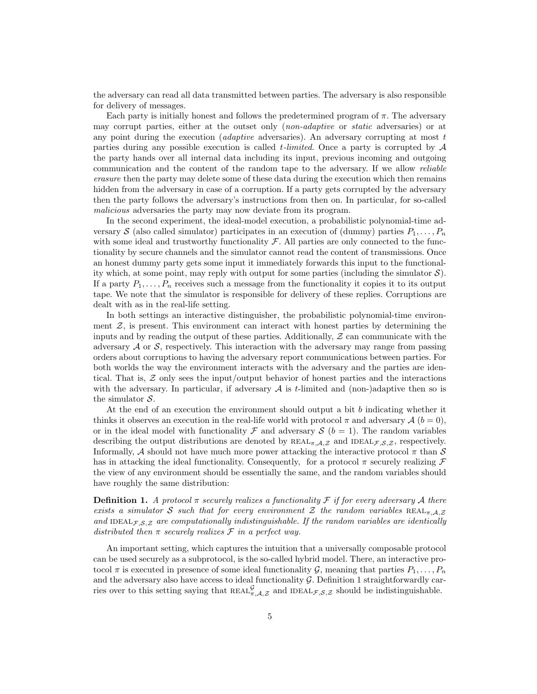the adversary can read all data transmitted between parties. The adversary is also responsible for delivery of messages.

Each party is initially honest and follows the predetermined program of  $\pi$ . The adversary may corrupt parties, either at the outset only (non-adaptive or static adversaries) or at any point during the execution *(adaptive adversaries)*. An adversary corrupting at most  $t$ parties during any possible execution is called  $t$ -limited. Once a party is corrupted by  $A$ the party hands over all internal data including its input, previous incoming and outgoing communication and the content of the random tape to the adversary. If we allow reliable erasure then the party may delete some of these data during the execution which then remains hidden from the adversary in case of a corruption. If a party gets corrupted by the adversary then the party follows the adversary's instructions from then on. In particular, for so-called malicious adversaries the party may now deviate from its program.

In the second experiment, the ideal-model execution, a probabilistic polynomial-time adversary S (also called simulator) participates in an execution of (dummy) parties  $P_1, \ldots, P_n$ with some ideal and trustworthy functionality  $\mathcal{F}$ . All parties are only connected to the functionality by secure channels and the simulator cannot read the content of transmissions. Once an honest dummy party gets some input it immediately forwards this input to the functionality which, at some point, may reply with output for some parties (including the simulator S). If a party  $P_1, \ldots, P_n$  receives such a message from the functionality it copies it to its output tape. We note that the simulator is responsible for delivery of these replies. Corruptions are dealt with as in the real-life setting.

In both settings an interactive distinguisher, the probabilistic polynomial-time environment  $Z$ , is present. This environment can interact with honest parties by determining the inputs and by reading the output of these parties. Additionally,  $Z$  can communicate with the adversary  $A$  or  $S$ , respectively. This interaction with the adversary may range from passing orders about corruptions to having the adversary report communications between parties. For both worlds the way the environment interacts with the adversary and the parties are identical. That is,  $\mathcal Z$  only sees the input/output behavior of honest parties and the interactions with the adversary. In particular, if adversary  $A$  is t-limited and (non-)adaptive then so is the simulator  $S$ .

At the end of an execution the environment should output a bit  $b$  indicating whether it thinks it observes an execution in the real-life world with protocol  $\pi$  and adversary  $\mathcal{A}$  ( $b = 0$ ). or in the ideal model with functionality F and adversary  $S(b = 1)$ . The random variables describing the output distributions are denoted by  $REAL_{\pi,\mathcal{A},\mathcal{Z}}$  and  $IDEAL_{\mathcal{F},\mathcal{S},\mathcal{Z}}$ , respectively. Informally, A should not have much more power attacking the interactive protocol  $\pi$  than S has in attacking the ideal functionality. Consequently, for a protocol  $\pi$  securely realizing  $\mathcal F$ the view of any environment should be essentially the same, and the random variables should have roughly the same distribution:

**Definition 1.** A protocol  $\pi$  securely realizes a functionality F if for every adversary A there exists a simulator S such that for every environment Z the random variables  $REAL_{\pi,A,Z}$ and IDEAL $\mathcal{F},\mathcal{S},\mathcal{Z}$  are computationally indistinguishable. If the random variables are identically distributed then  $\pi$  securely realizes  $\mathcal F$  in a perfect way.

An important setting, which captures the intuition that a universally composable protocol can be used securely as a subprotocol, is the so-called hybrid model. There, an interactive protocol  $\pi$  is executed in presence of some ideal functionality  $\mathcal{G}$ , meaning that parties  $P_1, \ldots, P_n$ and the adversary also have access to ideal functionality  $G$ . Definition 1 straightforwardly carries over to this setting saying that  $REAL_{\pi,\mathcal{A},\mathcal{Z}}^{\mathcal{G}}$  and  $IDEAL_{\mathcal{F},\mathcal{S},\mathcal{Z}}$  should be indistinguishable.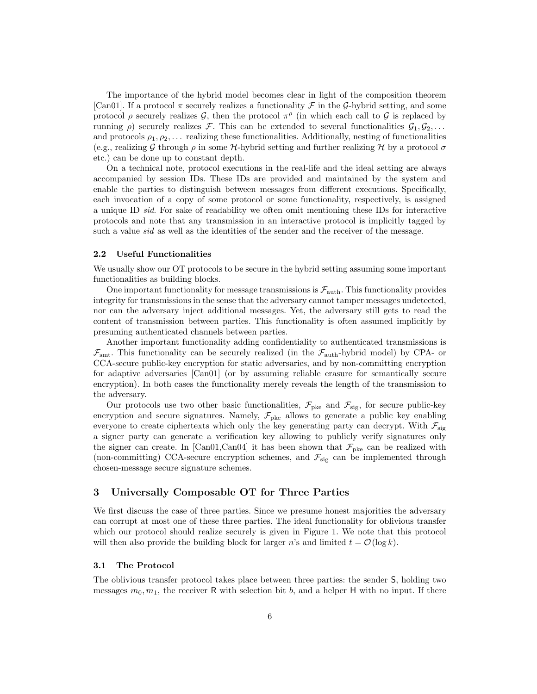The importance of the hybrid model becomes clear in light of the composition theorem [Can01]. If a protocol  $\pi$  securely realizes a functionality  $\mathcal F$  in the G-hybrid setting, and some protocol  $\rho$  securely realizes  $\mathcal{G}$ , then the protocol  $\pi^{\rho}$  (in which each call to  $\mathcal{G}$  is replaced by running  $\rho$ ) securely realizes *F*. This can be extended to several functionalities  $\mathcal{G}_1, \mathcal{G}_2, \ldots$ and protocols  $\rho_1, \rho_2, \ldots$  realizing these functionalities. Additionally, nesting of functionalities (e.g., realizing G through  $\rho$  in some H-hybrid setting and further realizing H by a protocol  $\sigma$ etc.) can be done up to constant depth.

On a technical note, protocol executions in the real-life and the ideal setting are always accompanied by session IDs. These IDs are provided and maintained by the system and enable the parties to distinguish between messages from different executions. Specifically, each invocation of a copy of some protocol or some functionality, respectively, is assigned a unique ID sid. For sake of readability we often omit mentioning these IDs for interactive protocols and note that any transmission in an interactive protocol is implicitly tagged by such a value *sid* as well as the identities of the sender and the receiver of the message.

## 2.2 Useful Functionalities

We usually show our OT protocols to be secure in the hybrid setting assuming some important functionalities as building blocks.

One important functionality for message transmissions is  $\mathcal{F}_{\text{auth}}$ . This functionality provides integrity for transmissions in the sense that the adversary cannot tamper messages undetected, nor can the adversary inject additional messages. Yet, the adversary still gets to read the content of transmission between parties. This functionality is often assumed implicitly by presuming authenticated channels between parties.

Another important functionality adding confidentiality to authenticated transmissions is  $\mathcal{F}_{\text{smt}}$ . This functionality can be securely realized (in the  $\mathcal{F}_{\text{auth}}$ -hybrid model) by CPA- or CCA-secure public-key encryption for static adversaries, and by non-committing encryption for adaptive adversaries [Can01] (or by assuming reliable erasure for semantically secure encryption). In both cases the functionality merely reveals the length of the transmission to the adversary.

Our protocols use two other basic functionalities,  $\mathcal{F}_{\text{pke}}$  and  $\mathcal{F}_{\text{sig}}$ , for secure public-key encryption and secure signatures. Namely,  $\mathcal{F}_{\text{pke}}$  allows to generate a public key enabling everyone to create ciphertexts which only the key generating party can decrypt. With  $\mathcal{F}_{sig}$ a signer party can generate a verification key allowing to publicly verify signatures only the signer can create. In [Can01,Can04] it has been shown that  $\mathcal{F}_{\text{pke}}$  can be realized with (non-committing) CCA-secure encryption schemes, and  $\mathcal{F}_{sig}$  can be implemented through chosen-message secure signature schemes.

# 3 Universally Composable OT for Three Parties

We first discuss the case of three parties. Since we presume honest majorities the adversary can corrupt at most one of these three parties. The ideal functionality for oblivious transfer which our protocol should realize securely is given in Figure 1. We note that this protocol will then also provide the building block for larger n's and limited  $t = \mathcal{O}(\log k)$ .

## 3.1 The Protocol

The oblivious transfer protocol takes place between three parties: the sender S, holding two messages  $m_0, m_1$ , the receiver R with selection bit b, and a helper H with no input. If there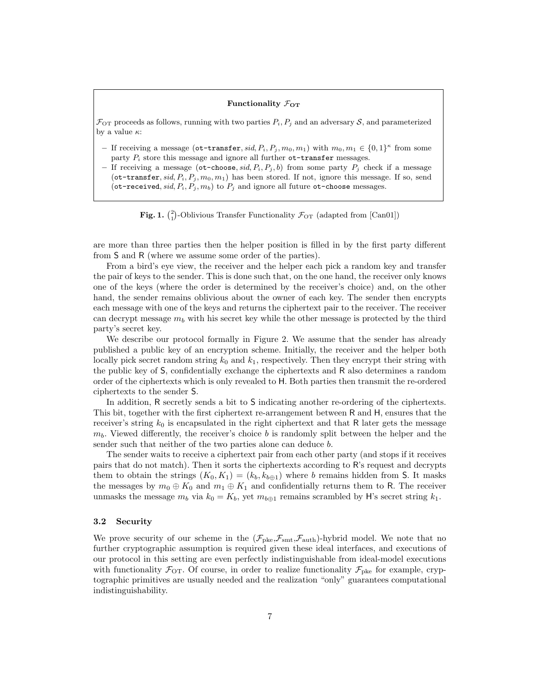#### Functionality  $\mathcal{F}_{\text{OT}}$

 $\mathcal{F}_{\text{OT}}$  proceeds as follows, running with two parties  $P_i, P_j$  and an adversary S, and parameterized by a value  $\kappa$ :

- If receiving a message (ot-transfer, sid,  $P_i$ ,  $P_j$ ,  $m_0$ ,  $m_1$ ) with  $m_0$ ,  $m_1 \in \{0,1\}^{\kappa}$  from some party  $P_i$  store this message and ignore all further ot-transfer messages.
- If receiving a message (ot-choose, sid,  $P_i$ ,  $P_j$ , b) from some party  $P_j$  check if a message (ot-transfer, sid,  $P_i$ ,  $P_j$ ,  $m_0$ ,  $m_1$ ) has been stored. If not, ignore this message. If so, send (ot-received, sid,  $P_i$ ,  $P_j$ ,  $m_b$ ) to  $P_j$  and ignore all future ot-choose messages.

**Fig. 1.** ( $^{2}_{1}$ )-Oblivious Transfer Functionality  $\mathcal{F}_{\text{OT}}$  (adapted from [Can01])

are more than three parties then the helper position is filled in by the first party different from S and R (where we assume some order of the parties).

From a bird's eye view, the receiver and the helper each pick a random key and transfer the pair of keys to the sender. This is done such that, on the one hand, the receiver only knows one of the keys (where the order is determined by the receiver's choice) and, on the other hand, the sender remains oblivious about the owner of each key. The sender then encrypts each message with one of the keys and returns the ciphertext pair to the receiver. The receiver can decrypt message  $m_b$  with his secret key while the other message is protected by the third party's secret key.

We describe our protocol formally in Figure 2. We assume that the sender has already published a public key of an encryption scheme. Initially, the receiver and the helper both locally pick secret random string  $k_0$  and  $k_1$ , respectively. Then they encrypt their string with the public key of S, confidentially exchange the ciphertexts and R also determines a random order of the ciphertexts which is only revealed to H. Both parties then transmit the re-ordered ciphertexts to the sender S.

In addition, R secretly sends a bit to S indicating another re-ordering of the ciphertexts. This bit, together with the first ciphertext re-arrangement between R and H, ensures that the receiver's string  $k_0$  is encapsulated in the right ciphertext and that R later gets the message  $m_b$ . Viewed differently, the receiver's choice b is randomly split between the helper and the sender such that neither of the two parties alone can deduce b.

The sender waits to receive a ciphertext pair from each other party (and stops if it receives pairs that do not match). Then it sorts the ciphertexts according to R's request and decrypts them to obtain the strings  $(K_0, K_1) = (k_b, k_{b \oplus 1})$  where b remains hidden from S. It masks the messages by  $m_0 \oplus K_0$  and  $m_1 \oplus K_1$  and confidentially returns them to R. The receiver unmasks the message  $m_b$  via  $k_0 = K_b$ , yet  $m_{b \oplus 1}$  remains scrambled by H's secret string  $k_1$ .

#### 3.2 Security

We prove security of our scheme in the  $(\mathcal{F}_{\text{pke}},\mathcal{F}_{\text{smt}},\mathcal{F}_{\text{auth}})$ -hybrid model. We note that no further cryptographic assumption is required given these ideal interfaces, and executions of our protocol in this setting are even perfectly indistinguishable from ideal-model executions with functionality  $\mathcal{F}_{\text{OT}}$ . Of course, in order to realize functionality  $\mathcal{F}_{\text{pke}}$  for example, cryptographic primitives are usually needed and the realization "only" guarantees computational indistinguishability.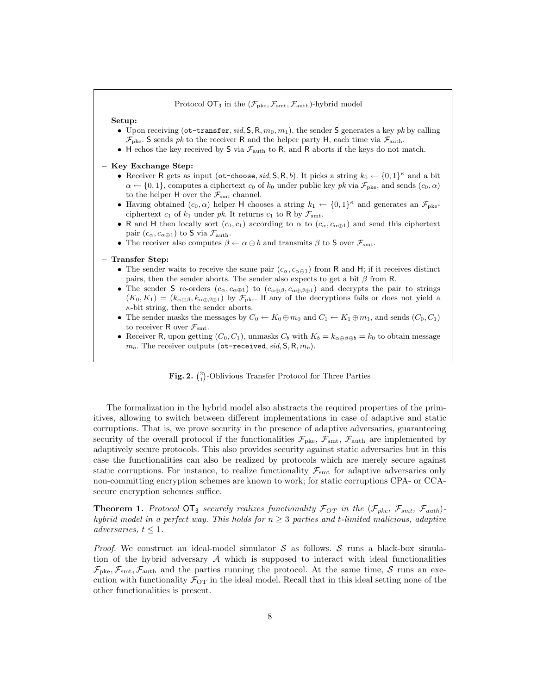Protocol  $\text{OT}_3$  in the  $(\mathcal{F}_{\text{pke}}, \mathcal{F}_{\text{smt}}, \mathcal{F}_{\text{auth}})$ -hybrid model

## – Setup:

- Upon receiving (ot-transfer, sid,  $S, R, m_0, m_1$ ), the sender S generates a key pk by calling  $\mathcal{F}_{\text{pke}}$ . S sends pk to the receiver R and the helper party H, each time via  $\mathcal{F}_{\text{auth}}$ .
- H echos the key received by S via  $\mathcal{F}_{\text{auth}}$  to R, and R aborts if the keys do not match.

#### – Key Exchange Step:

- Receiver R gets as input (ot-choose, sid, S, R, b). It picks a string  $k_0 \leftarrow \{0,1\}^{\kappa}$  and a bit  $\alpha \leftarrow \{0,1\}$ , computes a ciphertext  $c_0$  of  $k_0$  under public key pk via  $\mathcal{F}_{\text{pke}}$ , and sends  $(c_0,\alpha)$ to the helper H over the  $\mathcal{F}_{\mathrm{smt}}$  channel.
- Having obtained  $(c_0, \alpha)$  helper H chooses a string  $k_1 \leftarrow \{0, 1\}^{\kappa}$  and generates an  $\mathcal{F}_{\text{pke}}$ ciphertext  $c_1$  of  $k_1$  under pk. It returns  $c_1$  to R by  $\mathcal{F}_{\text{smt}}$ .
- R and H then locally sort  $(c_0, c_1)$  according to  $\alpha$  to  $(c_{\alpha}, c_{\alpha \oplus 1})$  and send this ciphertext pair  $(c_{\alpha}, c_{\alpha \oplus 1})$  to S via  $\mathcal{F}_{\text{auth}}$ .
- The receiver also computes  $\beta \leftarrow \alpha \oplus b$  and transmits  $\beta$  to S over  $\mathcal{F}_{\text{smt}}$ .

#### – Transfer Step:

- The sender waits to receive the same pair  $(c_{\alpha}, c_{\alpha \oplus 1})$  from R and H; if it receives distinct pairs, then the sender aborts. The sender also expects to get a bit  $\beta$  from R.
- The sender S re-orders  $(c_{\alpha}, c_{\alpha\oplus 1})$  to  $(c_{\alpha\oplus\beta}, c_{\alpha\oplus\beta\oplus 1})$  and decrypts the pair to strings  $(K_0, K_1) = (k_{\alpha \oplus \beta}, k_{\alpha \oplus \beta \oplus 1})$  by  $\mathcal{F}_{\text{pke}}$ . If any of the decryptions fails or does not yield a  $\kappa\text{-bit string, then the sender aborts.}$
- The sender masks the messages by  $C_0 \leftarrow K_0 \oplus m_0$  and  $C_1 \leftarrow K_1 \oplus m_1$ , and sends  $(C_0, C_1)$ to receiver R over  $\mathcal{F}_{\rm smt}.$
- Receiver R, upon getting  $(C_0, C_1)$ , unmasks  $C_b$  with  $K_b = k_{\alpha \oplus \beta \oplus b} = k_0$  to obtain message  $m_b$ . The receiver outputs (ot-received, sid, S, R,  $m_b$ ).

Fig. 2.  $\binom{2}{1}$ -Oblivious Transfer Protocol for Three Parties

The formalization in the hybrid model also abstracts the required properties of the primitives, allowing to switch between different implementations in case of adaptive and static corruptions. That is, we prove security in the presence of adaptive adversaries, guaranteeing security of the overall protocol if the functionalities  $\mathcal{F}_{\text{pke}}, \mathcal{F}_{\text{smt}}, \mathcal{F}_{\text{auth}}$  are implemented by adaptively secure protocols. This also provides security against static adversaries but in this case the functionalities can also be realized by protocols which are merely secure against static corruptions. For instance, to realize functionality  $\mathcal{F}_{\text{smt}}$  for adaptive adversaries only non-committing encryption schemes are known to work; for static corruptions CPA- or CCAsecure encryption schemes suffice.

**Theorem 1.** Protocol  $\overline{OT}_3$  securely realizes functionality  $\mathcal{F}_{OT}$  in the  $(\mathcal{F}_{pke}, \mathcal{F}_{smt}, \mathcal{F}_{auth})$ hybrid model in a perfect way. This holds for  $n \geq 3$  parties and t-limited malicious, adaptive adversaries,  $t < 1$ .

*Proof.* We construct an ideal-model simulator  $S$  as follows.  $S$  runs a black-box simulation of the hybrid adversary  $A$  which is supposed to interact with ideal functionalities  $\mathcal{F}_{\rm pke}, \mathcal{F}_{\rm smt}, \mathcal{F}_{\rm auth}$  and the parties running the protocol. At the same time, S runs an execution with functionality  $\mathcal{F}_{\text{OT}}$  in the ideal model. Recall that in this ideal setting none of the other functionalities is present.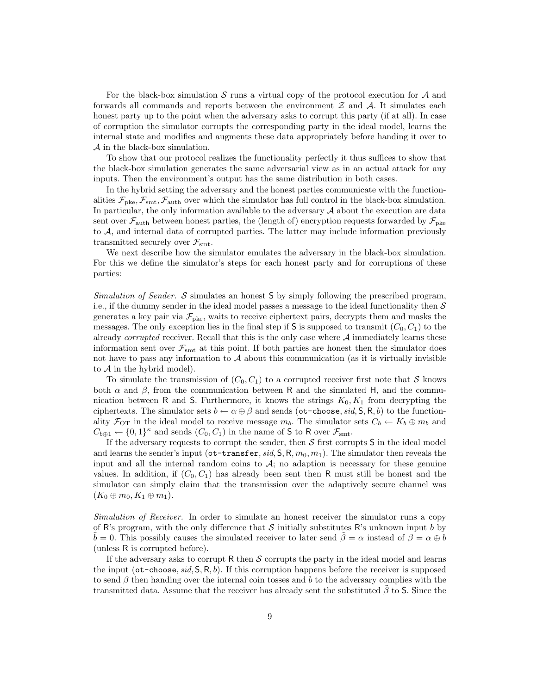For the black-box simulation S runs a virtual copy of the protocol execution for  $A$  and forwards all commands and reports between the environment  $\mathcal Z$  and  $\mathcal A$ . It simulates each honest party up to the point when the adversary asks to corrupt this party (if at all). In case of corruption the simulator corrupts the corresponding party in the ideal model, learns the internal state and modifies and augments these data appropriately before handing it over to A in the black-box simulation.

To show that our protocol realizes the functionality perfectly it thus suffices to show that the black-box simulation generates the same adversarial view as in an actual attack for any inputs. Then the environment's output has the same distribution in both cases.

In the hybrid setting the adversary and the honest parties communicate with the functionalities  $\mathcal{F}_{\text{pke}}, \mathcal{F}_{\text{smt}}, \mathcal{F}_{\text{auth}}$  over which the simulator has full control in the black-box simulation. In particular, the only information available to the adversary  $A$  about the execution are data sent over  $\mathcal{F}_{\text{auth}}$  between honest parties, the (length of) encryption requests forwarded by  $\mathcal{F}_{\text{pk}}$ to A, and internal data of corrupted parties. The latter may include information previously transmitted securely over  $\mathcal{F}_{\text{smt}}$ .

We next describe how the simulator emulates the adversary in the black-box simulation. For this we define the simulator's steps for each honest party and for corruptions of these parties:

Simulation of Sender. S simulates an honest S by simply following the prescribed program, i.e., if the dummy sender in the ideal model passes a message to the ideal functionality then  $S$ generates a key pair via  $\mathcal{F}_{pke}$ , waits to receive ciphertext pairs, decrypts them and masks the messages. The only exception lies in the final step if S is supposed to transmit  $(C_0, C_1)$  to the already *corrupted* receiver. Recall that this is the only case where  $A$  immediately learns these information sent over  $\mathcal{F}_{\text{smt}}$  at this point. If both parties are honest then the simulator does not have to pass any information to  $A$  about this communication (as it is virtually invisible to  $A$  in the hybrid model).

To simulate the transmission of  $(C_0, C_1)$  to a corrupted receiver first note that S knows both  $\alpha$  and  $\beta$ , from the communication between R and the simulated H, and the communication between R and S. Furthermore, it knows the strings  $K_0, K_1$  from decrypting the ciphertexts. The simulator sets  $b \leftarrow \alpha \oplus \beta$  and sends (ot-choose, sid, S, R, b) to the functionality  $\mathcal{F}_{\text{OT}}$  in the ideal model to receive message  $m_b$ . The simulator sets  $C_b \leftarrow K_b \oplus m_b$  and  $C_{b\oplus 1} \leftarrow \{0,1\}^{\kappa}$  and sends  $(C_0, C_1)$  in the name of S to R over  $\mathcal{F}_{\text{smt}}$ .

If the adversary requests to corrupt the sender, then  $S$  first corrupts  $S$  in the ideal model and learns the sender's input (ot-transfer, sid,  $S, R, m_0, m_1$ ). The simulator then reveals the input and all the internal random coins to  $A$ ; no adaption is necessary for these genuine values. In addition, if  $(C_0, C_1)$  has already been sent then R must still be honest and the simulator can simply claim that the transmission over the adaptively secure channel was  $(K_0 \oplus m_0, K_1 \oplus m_1).$ 

Simulation of Receiver. In order to simulate an honest receiver the simulator runs a copy of R's program, with the only difference that S initially substitutes R's unknown input b by  $\tilde{b} = 0$ . This possibly causes the simulated receiver to later send  $\tilde{\beta} = \alpha$  instead of  $\beta = \alpha \oplus b$ (unless R is corrupted before).

If the adversary asks to corrupt R then  $S$  corrupts the party in the ideal model and learns the input (ot-choose, sid,  $S, R, b$ ). If this corruption happens before the receiver is supposed to send  $\beta$  then handing over the internal coin tosses and b to the adversary complies with the transmitted data. Assume that the receiver has already sent the substituted  $\beta$  to S. Since the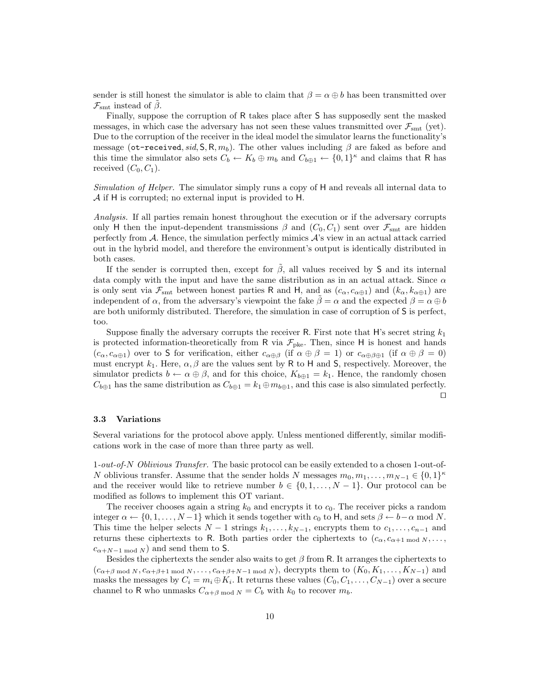sender is still honest the simulator is able to claim that  $\beta = \alpha \oplus b$  has been transmitted over  $\mathcal{F}_{\rm smt}$  instead of  $\beta$ .

Finally, suppose the corruption of R takes place after S has supposedly sent the masked messages, in which case the adversary has not seen these values transmitted over  $\mathcal{F}_{\text{smt}}$  (yet). Due to the corruption of the receiver in the ideal model the simulator learns the functionality's message (ot-received, sid, S, R,  $m_b$ ). The other values including  $\beta$  are faked as before and this time the simulator also sets  $C_b \leftarrow K_b \oplus m_b$  and  $C_{b \oplus 1} \leftarrow \{0,1\}^{\kappa}$  and claims that R has received  $(C_0, C_1)$ .

Simulation of Helper. The simulator simply runs a copy of H and reveals all internal data to A if H is corrupted; no external input is provided to H.

Analysis. If all parties remain honest throughout the execution or if the adversary corrupts only H then the input-dependent transmissions  $\beta$  and  $(C_0, C_1)$  sent over  $\mathcal{F}_{\text{smt}}$  are hidden perfectly from  $A$ . Hence, the simulation perfectly mimics  $A$ 's view in an actual attack carried out in the hybrid model, and therefore the environment's output is identically distributed in both cases.

If the sender is corrupted then, except for  $\tilde{\beta}$ , all values received by S and its internal data comply with the input and have the same distribution as in an actual attack. Since  $\alpha$ is only sent via  $\mathcal{F}_{\rm smt}$  between honest parties R and H, and as  $(c_{\alpha}, c_{\alpha\oplus 1})$  and  $(k_{\alpha}, k_{\alpha\oplus 1})$  are independent of  $\alpha$ , from the adversary's viewpoint the fake  $\beta = \alpha$  and the expected  $\beta = \alpha \oplus b$ are both uniformly distributed. Therefore, the simulation in case of corruption of S is perfect, too.

Suppose finally the adversary corrupts the receiver R. First note that H's secret string  $k_1$ is protected information-theoretically from R via  $\mathcal{F}_{\text{pke}}$ . Then, since H is honest and hands  $(c_{\alpha}, c_{\alpha\oplus 1})$  over to S for verification, either  $c_{\alpha\oplus\beta}$  (if  $\alpha \oplus \beta = 1$ ) or  $c_{\alpha\oplus\beta\oplus 1}$  (if  $\alpha \oplus \beta = 0$ ) must encrypt  $k_1$ . Here,  $\alpha, \beta$  are the values sent by R to H and S, respectively. Moreover, the simulator predicts  $b \leftarrow \alpha \oplus \beta$ , and for this choice,  $K_{b \oplus 1} = k_1$ . Hence, the randomly chosen  $C_{b\oplus 1}$  has the same distribution as  $C_{b\oplus 1} = k_1 \oplus m_{b\oplus 1}$ , and this case is also simulated perfectly.  $\Box$ 

#### 3.3 Variations

Several variations for the protocol above apply. Unless mentioned differently, similar modifications work in the case of more than three party as well.

1-out-of-N Oblivious Transfer. The basic protocol can be easily extended to a chosen 1-out-of-N oblivious transfer. Assume that the sender holds N messages  $m_0, m_1, \ldots, m_{N-1} \in \{0,1\}^{\kappa}$ and the receiver would like to retrieve number  $b \in \{0, 1, \ldots, N-1\}$ . Our protocol can be modified as follows to implement this OT variant.

The receiver chooses again a string  $k_0$  and encrypts it to  $c_0$ . The receiver picks a random integer  $\alpha \leftarrow \{0, 1, \ldots, N-1\}$  which it sends together with  $c_0$  to H, and sets  $\beta \leftarrow b-\alpha$  mod N. This time the helper selects  $N-1$  strings  $k_1, \ldots, k_{N-1}$ , encrypts them to  $c_1, \ldots, c_{n-1}$  and returns these ciphertexts to R. Both parties order the ciphertexts to  $(c_{\alpha}, c_{\alpha+1 \mod N}, \ldots, c_{\alpha+1})$  $c_{\alpha+N-1 \mod N}$  and send them to S.

Besides the ciphertexts the sender also waits to get  $\beta$  from R. It arranges the ciphertexts to  $(c_{\alpha+\beta \mod N}, c_{\alpha+\beta+1 \mod N}, \ldots, c_{\alpha+\beta+N-1 \mod N})$ , decrypts them to  $(K_0, K_1, \ldots, K_{N-1})$  and masks the messages by  $C_i = m_i \oplus K_i$ . It returns these values  $(C_0, C_1, \ldots, C_{N-1})$  over a secure channel to R who unmasks  $C_{\alpha+\beta \bmod N} = C_b$  with  $k_0$  to recover  $m_b$ .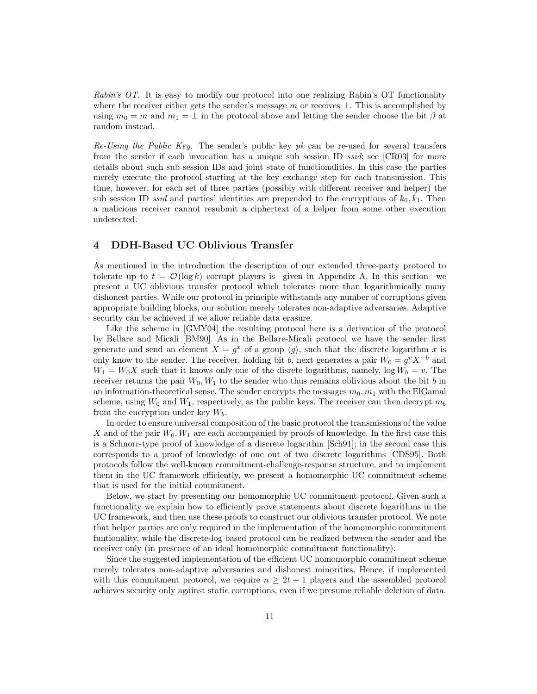Rabin's OT. It is easy to modify our protocol into one realizing Rabin's OT functionality where the receiver either gets the sender's message m or receives  $\bot$ . This is accomplished by using  $m_0 = m$  and  $m_1 = \perp$  in the protocol above and letting the sender choose the bit  $\beta$  at random instead.

 $Re\text{-}Using the Public Key$ . The sender's public key pk can be re-used for several transfers from the sender if each invocation has a unique sub session ID ssid; see [CR03] for more details about such sub session IDs and joint state of functionalities. In this case the parties merely execute the protocol starting at the key exchange step for each transmission. This time, however, for each set of three parties (possibly with different receiver and helper) the sub session ID *ssid* and parties' identities are prepended to the encryptions of  $k_0, k_1$ . Then a malicious receiver cannot resubmit a ciphertext of a helper from some other execution undetected.

# 4 DDH-Based UC Oblivious Transfer

As mentioned in the introduction the description of our extended three-party protocol to tolerate up to  $t = \mathcal{O}(\log k)$  corrupt players is given in Appendix A. In this section we present a UC oblivious transfer protocol which tolerates more than logarithmically many dishonest parties. While our protocol in principle withstands any number of corruptions given appropriate building blocks, our solution merely tolerates non-adaptive adversaries. Adaptive security can be achieved if we allow reliable data erasure.

Like the scheme in [GMY04] the resulting protocol here is a derivation of the protocol by Bellare and Micali [BM90]. As in the Bellare-Micali protocol we have the sender first generate and send an element  $X = g^x$  of a group  $\langle g \rangle$ , such that the discrete logarithm x is only know to the sender. The receiver, holding bit b, next generates a pair  $W_0 = g^v X^{-b}$  and  $W_1 = W_0 X$  such that it knows only one of the disrete logarithms, namely,  $\log W_b = v$ . The receiver returns the pair  $W_0, W_1$  to the sender who thus remains oblivious about the bit b in an information-theoretical sense. The sender encrypts the messages  $m_0, m_1$  with the ElGamal scheme, using  $W_0$  and  $W_1$ , respectively, as the public keys. The receiver can then decrypt  $m_b$ from the encryption under key  $W_b$ .

In order to ensure universal composition of the basic protocol the transmissions of the value X and of the pair  $W_0, W_1$  are each accompanied by proofs of knowledge. In the first case this is a Schnorr-type proof of knowledge of a discrete logarithm [Sch91]; in the second case this corresponds to a proof of knowledge of one out of two discrete logarithms [CDS95]. Both protocols follow the well-known commitment-challenge-response structure, and to implement them in the UC framework efficiently, we present a homomorphic UC commitment scheme that is used for the initial commitment.

Below, we start by presenting our homomorphic UC commitment protocol. Given such a functionality we explain how to efficiently prove statements about discrete logarithms in the UC framework, and then use these proofs to construct our oblivious transfer protocol. We note that helper parties are only required in the implementation of the homomorphic commitment funtionality, while the discrete-log based protocol can be realized between the sender and the receiver only (in presence of an ideal homomorphic commitment functionality).

Since the suggested implementation of the efficient UC homomorphic commitment scheme merely tolerates non-adaptive adversaries and dishonest minorities. Hence, if implemented with this commitment protocol, we require  $n \geq 2t + 1$  players and the assembled protocol achieves security only against static corruptions, even if we presume reliable deletion of data.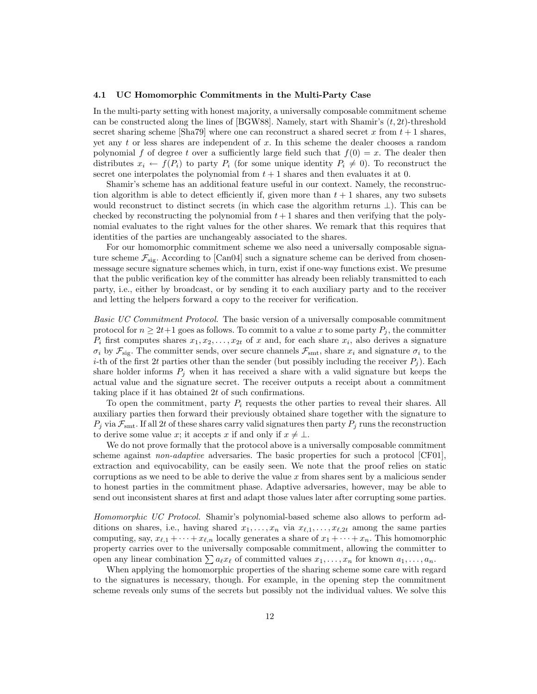### 4.1 UC Homomorphic Commitments in the Multi-Party Case

In the multi-party setting with honest majority, a universally composable commitment scheme can be constructed along the lines of [BGW88]. Namely, start with Shamir's  $(t, 2t)$ -threshold secret sharing scheme [Sha79] where one can reconstruct a shared secret x from  $t + 1$  shares, yet any  $t$  or less shares are independent of  $x$ . In this scheme the dealer chooses a random polynomial f of degree t over a sufficiently large field such that  $f(0) = x$ . The dealer then distributes  $x_i \leftarrow f(P_i)$  to party  $P_i$  (for some unique identity  $P_i \neq 0$ ). To reconstruct the secret one interpolates the polynomial from  $t + 1$  shares and then evaluates it at 0.

Shamir's scheme has an additional feature useful in our context. Namely, the reconstruction algorithm is able to detect efficiently if, given more than  $t + 1$  shares, any two subsets would reconstruct to distinct secrets (in which case the algorithm returns ⊥). This can be checked by reconstructing the polynomial from  $t + 1$  shares and then verifying that the polynomial evaluates to the right values for the other shares. We remark that this requires that identities of the parties are unchangeably associated to the shares.

For our homomorphic commitment scheme we also need a universally composable signature scheme  $\mathcal{F}_{sig}$ . According to [Can04] such a signature scheme can be derived from chosenmessage secure signature schemes which, in turn, exist if one-way functions exist. We presume that the public verification key of the committer has already been reliably transmitted to each party, i.e., either by broadcast, or by sending it to each auxiliary party and to the receiver and letting the helpers forward a copy to the receiver for verification.

Basic UC Commitment Protocol. The basic version of a universally composable commitment protocol for  $n \geq 2t+1$  goes as follows. To commit to a value x to some party  $P_i$ , the committer  $P_i$  first computes shares  $x_1, x_2, \ldots, x_{2t}$  of x and, for each share  $x_i$ , also derives a signature  $\sigma_i$  by  $\mathcal{F}_{sig}$ . The committer sends, over secure channels  $\mathcal{F}_{smt}$ , share  $x_i$  and signature  $\sigma_i$  to the *i*-th of the first 2t parties other than the sender (but possibly including the receiver  $P_j$ ). Each share holder informs  $P_j$  when it has received a share with a valid signature but keeps the actual value and the signature secret. The receiver outputs a receipt about a commitment taking place if it has obtained 2t of such confirmations.

To open the commitment, party  $P_i$  requests the other parties to reveal their shares. All auxiliary parties then forward their previously obtained share together with the signature to  $P_j$  via  $\mathcal{F}_{smt}$ . If all 2t of these shares carry valid signatures then party  $P_j$  runs the reconstruction to derive some value x; it accepts x if and only if  $x \neq \bot$ .

We do not prove formally that the protocol above is a universally composable commitment scheme against non-adaptive adversaries. The basic properties for such a protocol [CF01], extraction and equivocability, can be easily seen. We note that the proof relies on static corruptions as we need to be able to derive the value  $x$  from shares sent by a malicious sender to honest parties in the commitment phase. Adaptive adversaries, however, may be able to send out inconsistent shares at first and adapt those values later after corrupting some parties.

Homomorphic UC Protocol. Shamir's polynomial-based scheme also allows to perform additions on shares, i.e., having shared  $x_1, \ldots, x_n$  via  $x_{\ell,1}, \ldots, x_{\ell,2t}$  among the same parties computing, say,  $x_{\ell,1} + \cdots + x_{\ell,n}$  locally generates a share of  $x_1 + \cdots + x_n$ . This homomorphic property carries over to the universally composable commitment, allowing the committer to open any linear combination  $\sum a_\ell x_\ell$  of committed values  $x_1, \ldots, x_n$  for known  $a_1, \ldots, a_n$ .

When applying the homomorphic properties of the sharing scheme some care with regard to the signatures is necessary, though. For example, in the opening step the commitment scheme reveals only sums of the secrets but possibly not the individual values. We solve this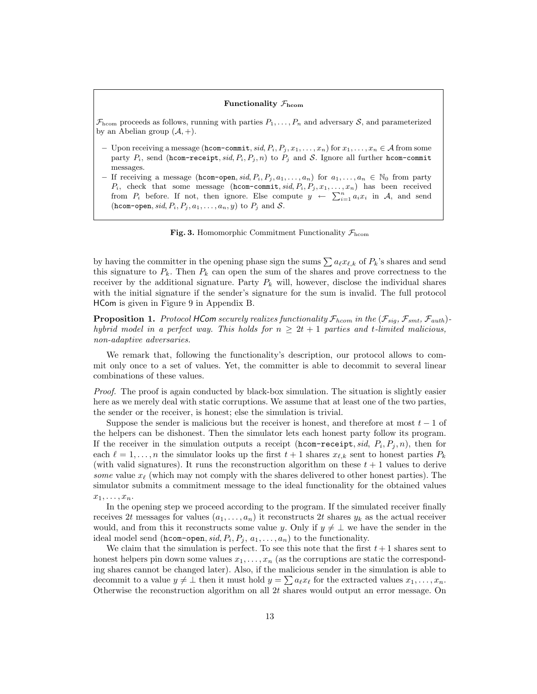#### Functionality  $\mathcal{F}_{\text{hcom}}$

 $\mathcal{F}_{\text{hcom}}$  proceeds as follows, running with parties  $P_1, \ldots, P_n$  and adversary S, and parameterized by an Abelian group  $(\mathcal{A}, +)$ .

- Upon receiving a message (hcom-commit,  $sid, P_i, P_j, x_1, \ldots, x_n$ ) for  $x_1, \ldots, x_n \in A$  from some party  $P_i$ , send (hcom-receipt, sid,  $P_i$ ,  $P_j$ , n) to  $P_j$  and S. Ignore all further hcom-commit messages.
- If receiving a message (hcom-open, sid,  $P_i, P_j, a_1, \ldots, a_n$ ) for  $a_1, \ldots, a_n \in \mathbb{N}_0$  from party  $P_i$ , check that some message (hcom-commit, sid,  $P_i$ ,  $P_j$ ,  $x_1, \ldots, x_n$ ) has been received from  $P_i$  before. If not, then ignore. Else compute  $y \leftarrow \sum_{i=1}^n a_i x_i$  in A, and send (hcom-open, sid,  $P_i$ ,  $P_j$ ,  $a_1$ , ...,  $a_n$ , y) to  $P_j$  and  $S$ .

Fig. 3. Homomorphic Commitment Functionality  $\mathcal{F}_{\text{hom}}$ 

by having the committer in the opening phase sign the sums  $\sum a_\ell x_{\ell,k}$  of  $P_k$ 's shares and send this signature to  $P_k$ . Then  $P_k$  can open the sum of the shares and prove correctness to the receiver by the additional signature. Party  $P_k$  will, however, disclose the individual shares with the initial signature if the sender's signature for the sum is invalid. The full protocol HCom is given in Figure 9 in Appendix B.

**Proposition 1.** Protocol HCom securely realizes functionality  $\mathcal{F}_{hcom}$  in the  $(\mathcal{F}_{sig}, \mathcal{F}_{smt}, \mathcal{F}_{auth})$ hybrid model in a perfect way. This holds for  $n \geq 2t + 1$  parties and t-limited malicious, non-adaptive adversaries.

We remark that, following the functionality's description, our protocol allows to commit only once to a set of values. Yet, the committer is able to decommit to several linear combinations of these values.

Proof. The proof is again conducted by black-box simulation. The situation is slightly easier here as we merely deal with static corruptions. We assume that at least one of the two parties, the sender or the receiver, is honest; else the simulation is trivial.

Suppose the sender is malicious but the receiver is honest, and therefore at most  $t - 1$  of the helpers can be dishonest. Then the simulator lets each honest party follow its program. If the receiver in the simulation outputs a receipt (hcom-receipt, sid,  $P_i$ ,  $P_j$ , n), then for each  $\ell = 1, \ldots, n$  the simulator looks up the first  $t + 1$  shares  $x_{\ell,k}$  sent to honest parties  $P_k$ (with valid signatures). It runs the reconstruction algorithm on these  $t + 1$  values to derive some value  $x_\ell$  (which may not comply with the shares delivered to other honest parties). The simulator submits a commitment message to the ideal functionality for the obtained values  $x_1, \ldots, x_n$ .

In the opening step we proceed according to the program. If the simulated receiver finally receives 2t messages for values  $(a_1, \ldots, a_n)$  it reconstructs 2t shares  $y_k$  as the actual receiver would, and from this it reconstructs some value y. Only if  $y \neq \perp$  we have the sender in the ideal model send (hcom-open,  $sid, P_i, P_j, a_1, \ldots, a_n$ ) to the functionality.

We claim that the simulation is perfect. To see this note that the first  $t + 1$  shares sent to honest helpers pin down some values  $x_1, \ldots, x_n$  (as the corruptions are static the corresponding shares cannot be changed later). Also, if the malicious sender in the simulation is able to decommit to a value  $y \neq \bot$  then it must hold  $y = \sum a_\ell x_\ell$  for the extracted values  $x_1, \ldots, x_n$ . Otherwise the reconstruction algorithm on all  $2t$  shares would output an error message. On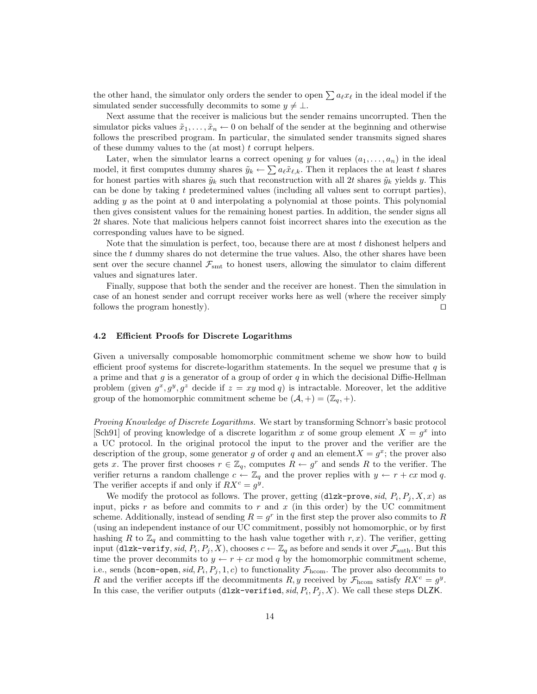the other hand, the simulator only orders the sender to open  $\sum a_\ell x_\ell$  in the ideal model if the simulated sender successfully decommits to some  $y \neq \bot$ .

Next assume that the receiver is malicious but the sender remains uncorrupted. Then the simulator picks values  $\tilde{x}_1, \ldots, \tilde{x}_n \leftarrow 0$  on behalf of the sender at the beginning and otherwise follows the prescribed program. In particular, the simulated sender transmits signed shares of these dummy values to the (at most)  $t$  corrupt helpers.

Later, when the simulator learns a correct opening y for values  $(a_1, \ldots, a_n)$  in the ideal model, it first computes dummy shares  $\tilde{y}_k \leftarrow \sum a_\ell \tilde{x}_{\ell,k}$ . Then it replaces the at least t shares for honest parties with shares  $\tilde{y}_k$  such that reconstruction with all 2t shares  $\tilde{y}_k$  yields y. This can be done by taking  $t$  predetermined values (including all values sent to corrupt parties), adding  $y$  as the point at 0 and interpolating a polynomial at those points. This polynomial then gives consistent values for the remaining honest parties. In addition, the sender signs all 2t shares. Note that malicious helpers cannot foist incorrect shares into the execution as the corresponding values have to be signed.

Note that the simulation is perfect, too, because there are at most t dishonest helpers and since the  $t$  dummy shares do not determine the true values. Also, the other shares have been sent over the secure channel  $\mathcal{F}_{\text{smt}}$  to honest users, allowing the simulator to claim different values and signatures later.

Finally, suppose that both the sender and the receiver are honest. Then the simulation in case of an honest sender and corrupt receiver works here as well (where the receiver simply follows the program honestly).  $\Box$ 

## 4.2 Efficient Proofs for Discrete Logarithms

Given a universally composable homomorphic commitment scheme we show how to build efficient proof systems for discrete-logarithm statements. In the sequel we presume that  $q$  is a prime and that  $g$  is a generator of a group of order  $q$  in which the decisional Diffie-Hellman problem (given  $g^x, g^y, g^z$  decide if  $z = xy \mod q$ ) is intractable. Moreover, let the additive group of the homomorphic commitment scheme be  $(\mathcal{A},+) = (\mathbb{Z}_q,+)$ .

Proving Knowledge of Discrete Logarithms. We start by transforming Schnorr's basic protocol [Sch91] of proving knowledge of a discrete logarithm x of some group element  $X = g^x$  into a UC protocol. In the original protocol the input to the prover and the verifier are the description of the group, some generator g of order q and an element  $X = g^x$ ; the prover also gets x. The prover first chooses  $r \in \mathbb{Z}_q$ , computes  $R \leftarrow g^r$  and sends R to the verifier. The verifier returns a random challenge  $c \leftarrow \mathbb{Z}_q$  and the prover replies with  $y \leftarrow r + cx \mod q$ . The verifier accepts if and only if  $RX^c = g^y$ .

We modify the protocol as follows. The prover, getting  $(dlxk-prove, sid, P_i, P_j, X, x)$  as input, picks  $r$  as before and commits to  $r$  and  $x$  (in this order) by the UC commitment scheme. Additionally, instead of sending  $R = g<sup>r</sup>$  in the first step the prover also commits to R (using an independent instance of our UC commitment, possibly not homomorphic, or by first hashing R to  $\mathbb{Z}_q$  and committing to the hash value together with  $r, x$ ). The verifier, getting input (dlzk-verify, sid,  $P_i$ ,  $P_j$ , X), chooses  $c \leftarrow \mathbb{Z}_q$  as before and sends it over  $\mathcal{F}_{\text{auth}}$ . But this time the prover decommits to  $y \leftarrow r + cx \mod q$  by the homomorphic commitment scheme, i.e., sends (hcom-open, sid,  $P_i$ ,  $P_j$ , 1, c) to functionality  $\mathcal{F}_{\text{hcom}}$ . The prover also decommits to R and the verifier accepts iff the decommitments R, y received by  $\mathcal{F}_{\text{hcom}}$  satisfy  $RX^c = g^y$ . In this case, the verifier outputs (dlzk-verified,  $sid, P_i, P_j, X$ ). We call these steps DLZK.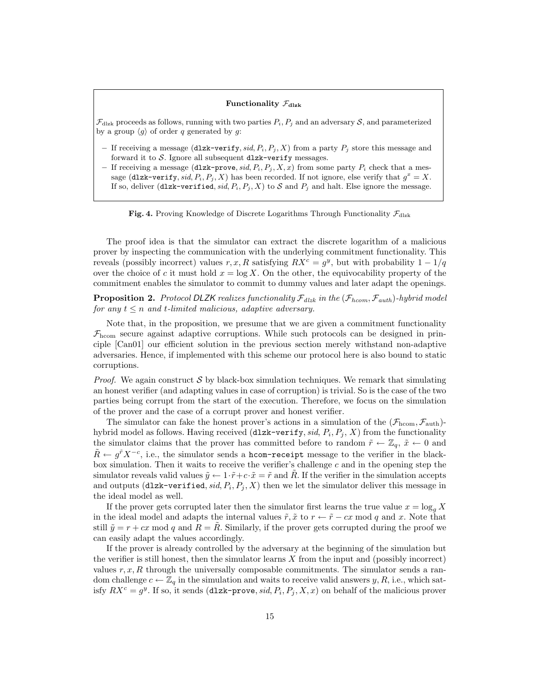#### Functionality  $\mathcal{F}_{\text{dlzk}}$

 $\mathcal{F}_{\text{dlzk}}$  proceeds as follows, running with two parties  $P_i, P_j$  and an adversary S, and parameterized by a group  $\langle g \rangle$  of order q generated by g:

- If receiving a message (dlzk-verify, sid,  $P_i$ ,  $P_j$ , X) from a party  $P_j$  store this message and forward it to  $S$ . Ignore all subsequent dlzk-verify messages.
- If receiving a message (dlzk-prove, sid,  $P_i$ ,  $P_j$ ,  $X$ , x) from some party  $P_i$  check that a message (dlzk-verify, sid,  $P_i$ ,  $P_j$ , X) has been recorded. If not ignore, else verify that  $g^x = X$ . If so, deliver (dlzk-verified, sid,  $P_i$ ,  $P_j$ , X) to S and  $P_j$  and halt. Else ignore the message.

**Fig. 4.** Proving Knowledge of Discrete Logarithms Through Functionality  $\mathcal{F}_{\text{dlzk}}$ 

The proof idea is that the simulator can extract the discrete logarithm of a malicious prover by inspecting the communication with the underlying commitment functionality. This reveals (possibly incorrect) values r, x, R satisfying  $RX^c = g^y$ , but with probability  $1 - 1/q$ over the choice of c it must hold  $x = \log X$ . On the other, the equivocability property of the commitment enables the simulator to commit to dummy values and later adapt the openings.

**Proposition 2.** Protocol DLZK realizes functionality  $\mathcal{F}_{d1zk}$  in the  $(\mathcal{F}_{hcom}, \mathcal{F}_{auth})$ -hybrid model for any  $t \leq n$  and t-limited malicious, adaptive adversary.

Note that, in the proposition, we presume that we are given a commitment functionality  $\mathcal{F}_{\text{hom}}$  secure against adaptive corruptions. While such protocols can be designed in principle [Can01] our efficient solution in the previous section merely withstand non-adaptive adversaries. Hence, if implemented with this scheme our protocol here is also bound to static corruptions.

*Proof.* We again construct S by black-box simulation techniques. We remark that simulating an honest verifier (and adapting values in case of corruption) is trivial. So is the case of the two parties being corrupt from the start of the execution. Therefore, we focus on the simulation of the prover and the case of a corrupt prover and honest verifier.

The simulator can fake the honest prover's actions in a simulation of the  $(\mathcal{F}_{\text{hcom}}, \mathcal{F}_{\text{auth}})$ hybrid model as follows. Having received (d1zk-verify, sid,  $P_i$ ,  $P_j$ , X) from the functionality the simulator claims that the prover has committed before to random  $\tilde{r} \leftarrow \mathbb{Z}_q$ ,  $\tilde{x} \leftarrow 0$  and  $\tilde{R} \leftarrow g^{\tilde{r}} X^{-c}$ , i.e., the simulator sends a hcom-receipt message to the verifier in the blackbox simulation. Then it waits to receive the verifier's challenge  $c$  and in the opening step the simulator reveals valid values  $\tilde{y} \leftarrow 1 \cdot \tilde{r} + c \cdot \tilde{x} = \tilde{r}$  and  $\tilde{R}$ . If the verifier in the simulation accepts and outputs (dlzk-verified, sid,  $P_i$ ,  $P_j$ , X) then we let the simulator deliver this message in the ideal model as well.

If the prover gets corrupted later then the simulator first learns the true value  $x = \log_q X$ in the ideal model and adapts the internal values  $\tilde{r}, \tilde{x}$  to  $r \leftarrow \tilde{r} - cx$  mod q and x. Note that still  $\tilde{y} = r + cx$  mod q and  $R = R$ . Similarly, if the prover gets corrupted during the proof we can easily adapt the values accordingly.

If the prover is already controlled by the adversary at the beginning of the simulation but the verifier is still honest, then the simulator learns  $X$  from the input and (possibly incorrect) values  $r, x, R$  through the universally composable commitments. The simulator sends a random challenge  $c \leftarrow \mathbb{Z}_q$  in the simulation and waits to receive valid answers y, R, i.e., which satisfy  $RX^c = g^y$ . If so, it sends (dlzk-prove, sid,  $P_i, P_j, X, x$ ) on behalf of the malicious prover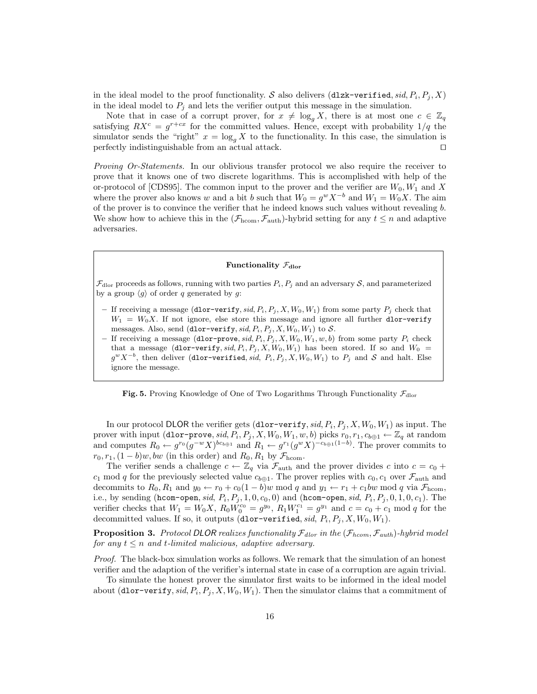in the ideal model to the proof functionality. S also delivers (d1zk-verified,  $sid, P_i, P_j, X$ ) in the ideal model to  $P_j$  and lets the verifier output this message in the simulation.

Note that in case of a corrupt prover, for  $x \neq \log_q X$ , there is at most one  $c \in \mathbb{Z}_q$ satisfying  $RX^c = g^{r+cx}$  for the committed values. Hence, except with probability  $1/q$  the simulator sends the "right"  $x = \log_q X$  to the functionality. In this case, the simulation is perfectly indistinguishable from an actual attack.  $\Box$ 

Proving Or-Statements. In our oblivious transfer protocol we also require the receiver to prove that it knows one of two discrete logarithms. This is accomplished with help of the or-protocol of [CDS95]. The common input to the prover and the verifier are  $W_0, W_1$  and X where the prover also knows w and a bit b such that  $W_0 = g^w X^{-b}$  and  $W_1 = W_0 X$ . The aim of the prover is to convince the verifier that he indeed knows such values without revealing  $b$ . We show how to achieve this in the  $(\mathcal{F}_{\text{hcom}}, \mathcal{F}_{\text{auth}})$ -hybrid setting for any  $t \leq n$  and adaptive adversaries.

# Functionality  $\mathcal{F}_{\text{dlor}}$

 $\mathcal{F}_{\text{dlor}}$  proceeds as follows, running with two parties  $P_i$ ,  $P_j$  and an adversary  $\mathcal{S}$ , and parameterized by a group  $\langle g \rangle$  of order q generated by g:

- If receiving a message (dlor-verify, sid,  $P_i$ ,  $P_i$ ,  $X$ ,  $W_0$ ,  $W_1$ ) from some party  $P_i$  check that  $W_1 = W_0 X$ . If not ignore, else store this message and ignore all further dlor-verify messages. Also, send (dlor-verify, sid,  $P_i$ ,  $P_j$ ,  $X$ ,  $W_0$ ,  $W_1$ ) to  $S$ .
- If receiving a message (dlor-prove, sid,  $P_i, P_j, X, W_0, W_1, w, b$ ) from some party  $P_i$  check that a message (dlor-verify, sid,  $P_i$ ,  $P_j$ ,  $X$ ,  $W_0$ ,  $W_1$ ) has been stored. If so and  $W_0$  =  $g^w X^{-b}$ , then deliver (dlor-verified, sid,  $P_i, P_j, X, W_0, W_1$ ) to  $P_j$  and  $\mathcal S$  and halt. Else ignore the message.

**Fig. 5.** Proving Knowledge of One of Two Logarithms Through Functionality  $\mathcal{F}_{\text{dlor}}$ 

In our protocol DLOR the verifier gets (dlor-verify,  $sid, P_i, P_j, X, W_0, W_1)$  as input. The prover with input (dlor-prove, sid,  $P_i, P_j, X, W_0, W_1, w, b$ ) picks  $r_0, r_1, c_{b \oplus 1} \leftarrow \mathbb{Z}_q$  at random and computes  $R_0 \leftarrow g^{r_0} (g^{-w} X)^{bc_{b\oplus 1}}$  and  $R_1 \leftarrow g^{r_1} (g^w X)^{-c_{b\oplus 1}(1-b)}$ . The prover commits to  $r_0, r_1, (1 - b)w, bw$  (in this order) and  $R_0, R_1$  by  $\mathcal{F}_{\text{hcom}}$ .

The verifier sends a challenge  $c \leftarrow \mathbb{Z}_q$  via  $\mathcal{F}_{\text{auth}}$  and the prover divides  $c$  into  $c = c_0 +$  $c_1$  mod q for the previously selected value  $c_{b \oplus 1}$ . The prover replies with  $c_0, c_1$  over  $\mathcal{F}_{\text{auth}}$  and decommits to  $R_0, R_1$  and  $y_0 \leftarrow r_0 + c_0(1 - b)w \mod q$  and  $y_1 \leftarrow r_1 + c_1bw \mod q$  via  $\mathcal{F}_{\text{hcom}}$ , i.e., by sending (hcom-open, sid,  $P_i$ ,  $P_j$ , 1, 0,  $c_0$ , 0) and (hcom-open, sid,  $P_i$ ,  $P_j$ , 0, 1, 0,  $c_1$ ). The verifier checks that  $W_1 = W_0 X$ ,  $R_0 W_0^{c_0} = g^{y_0}$ ,  $R_1 W_1^{c_1} = g^{y_1}$  and  $c = c_0 + c_1 \mod q$  for the decommitted values. If so, it outputs (**dlor-verified**, *sid*,  $P_i$ ,  $P_j$ ,  $X$ ,  $W_0$ ,  $W_1$ ).

**Proposition 3.** Protocol DLOR realizes functionality  $\mathcal{F}_{dlor}$  in the  $(\mathcal{F}_{hcom}, \mathcal{F}_{auth})$ -hybrid model for any  $t \leq n$  and t-limited malicious, adaptive adversary.

Proof. The black-box simulation works as follows. We remark that the simulation of an honest verifier and the adaption of the verifier's internal state in case of a corruption are again trivial.

To simulate the honest prover the simulator first waits to be informed in the ideal model about (dlor-verify, sid,  $P_i$ ,  $P_j$ , X,  $W_0$ ,  $W_1$ ). Then the simulator claims that a commitment of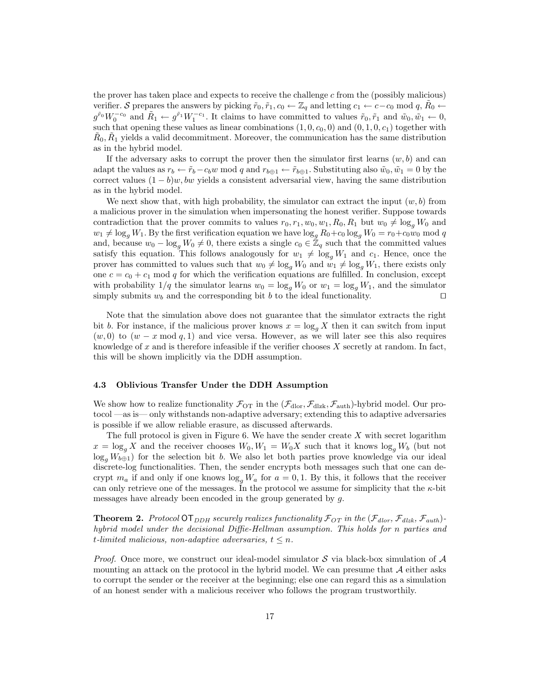the prover has taken place and expects to receive the challenge  $c$  from the (possibly malicious) verifier. S prepares the answers by picking  $\tilde{r}_0, \tilde{r}_1, c_0 \leftarrow \mathbb{Z}_q$  and letting  $c_1 \leftarrow c-c_0 \mod q$ ,  $\tilde{R}_0 \leftarrow$  $g^{\tilde{r}_0}W_0^{-c_0}$  and  $\tilde{R}_1 \leftarrow g^{\tilde{r}_1}W_1^{-c_1}$ . It claims to have committed to values  $\tilde{r}_0, \tilde{r}_1$  and  $\tilde{w}_0, \tilde{w}_1 \leftarrow 0$ , such that opening these values as linear combinations  $(1, 0, c_0, 0)$  and  $(0, 1, 0, c_1)$  together with  $\tilde{R}_0$ ,  $\tilde{R}_1$  yields a valid decommitment. Moreover, the communication has the same distribution as in the hybrid model.

If the adversary asks to corrupt the prover then the simulator first learns  $(w, b)$  and can adapt the values as  $r_b \leftarrow \tilde{r}_b - c_b w \mod q$  and  $r_{b \oplus 1} \leftarrow \tilde{r}_{b \oplus 1}$ . Substituting also  $\tilde{w}_0, \tilde{w}_1 = 0$  by the correct values  $(1 - b)w$ , bw yields a consistent adversarial view, having the same distribution as in the hybrid model.

We next show that, with high probability, the simulator can extract the input  $(w, b)$  from a malicious prover in the simulation when impersonating the honest verifier. Suppose towards contradiction that the prover commits to values  $r_0, r_1, w_0, w_1, R_0, R_1$  but  $w_0 \neq \log_q W_0$  and  $w_1 \neq \log_g W_1$ . By the first verification equation we have  $\log_g R_0 + c_0 \log_g W_0 = r_0 + c_0 w_0 \mod q$ and, because  $w_0 - \log_g W_0 \neq 0$ , there exists a single  $c_0 \in \mathbb{Z}_q$  such that the committed values satisfy this equation. This follows analogously for  $w_1 \neq \log_g W_1$  and  $c_1$ . Hence, once the prover has committed to values such that  $w_0 \neq \log_q W_0$  and  $w_1 \neq \log_q W_1$ , there exists only one  $c = c_0 + c_1$  mod q for which the verification equations are fulfilled. In conclusion, except with probability  $1/q$  the simulator learns  $w_0 = \log_q W_0$  or  $w_1 = \log_q W_1$ , and the simulator simply submits  $w_b$  and the corresponding bit b to the ideal functionality.

Note that the simulation above does not guarantee that the simulator extracts the right bit b. For instance, if the malicious prover knows  $x = \log_q X$  then it can switch from input  $(w, 0)$  to  $(w - x \mod q, 1)$  and vice versa. However, as we will later see this also requires knowledge of  $x$  and is therefore infeasible if the verifier chooses  $X$  secretly at random. In fact, this will be shown implicitly via the DDH assumption.

## 4.3 Oblivious Transfer Under the DDH Assumption

We show how to realize functionality  $\mathcal{F}_{OT}$  in the  $(\mathcal{F}_{dlor}, \mathcal{F}_{dlzk}, \mathcal{F}_{auth})$ -hybrid model. Our protocol —as is— only withstands non-adaptive adversary; extending this to adaptive adversaries is possible if we allow reliable erasure, as discussed afterwards.

The full protocol is given in Figure 6. We have the sender create  $X$  with secret logarithm  $x = \log_q X$  and the receiver chooses  $W_0, W_1 = W_0 X$  such that it knows  $\log_q W_b$  (but not  $\log_q W_{b \oplus 1}$ ) for the selection bit b. We also let both parties prove knowledge via our ideal discrete-log functionalities. Then, the sender encrypts both messages such that one can decrypt  $m_a$  if and only if one knows  $\log_a W_a$  for  $a = 0, 1$ . By this, it follows that the receiver can only retrieve one of the messages. In the protocol we assume for simplicity that the  $\kappa$ -bit messages have already been encoded in the group generated by g.

**Theorem 2.** Protocol OT<sub>DDH</sub> securely realizes functionality  $\mathcal{F}_{OT}$  in the ( $\mathcal{F}_{dlor}, \mathcal{F}_{duk}, \mathcal{F}_{auth}$ )hybrid model under the decisional Diffie-Hellman assumption. This holds for n parties and t-limited malicious, non-adaptive adversaries,  $t \leq n$ .

*Proof.* Once more, we construct our ideal-model simulator S via black-box simulation of  $A$ mounting an attack on the protocol in the hybrid model. We can presume that  $A$  either asks to corrupt the sender or the receiver at the beginning; else one can regard this as a simulation of an honest sender with a malicious receiver who follows the program trustworthily.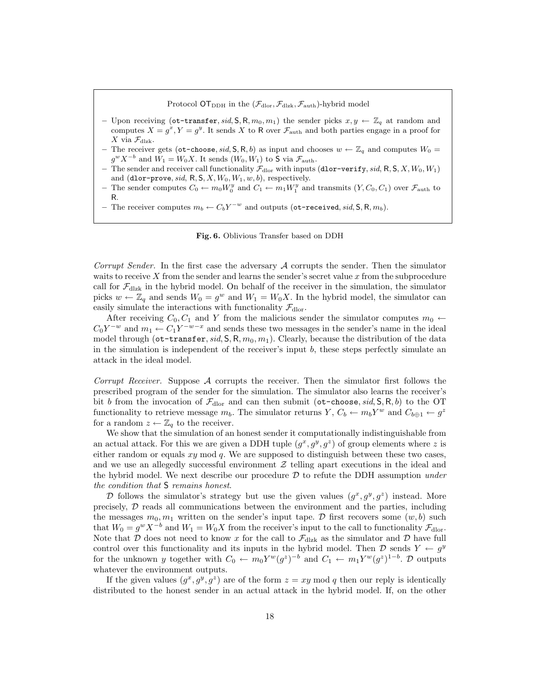Protocol  $\text{OT}_{\text{DDH}}$  in the  $(\mathcal{F}_{\text{dlor}}, \mathcal{F}_{\text{dizk}}, \mathcal{F}_{\text{auth}})$ -hybrid model

- Upon receiving (ot-transfer, sid, S, R,  $m_0, m_1$ ) the sender picks  $x, y \leftarrow \mathbb{Z}_q$  at random and computes  $X = g^x, Y = g^y$ . It sends X to R over  $\mathcal{F}_{\text{auth}}$  and both parties engage in a proof for X via  $\mathcal{F}_{\text{dlzk}}$ .
- The receiver gets (ot-choose, sid, S, R, b) as input and chooses  $w \leftarrow \mathbb{Z}_q$  and computes  $W_0 =$  $g^w X^{-b}$  and  $W_1 = W_0 X$ . It sends  $(W_0, W_1)$  to S via  $\mathcal{F}_{\text{auth}}$ .
- The sender and receiver call functionality  $\mathcal{F}_{\text{dlor}}$  with inputs (dlor-verify, sid, R, S, X,  $W_0, W_1$ ) and (dlor-prove, sid,  $R$ ,  $S$ ,  $X$ ,  $W_0$ ,  $W_1$ ,  $w$ ,  $b$ ), respectively.
- The sender computes  $C_0 \leftarrow m_0 W_0^y$  and  $C_1 \leftarrow m_1 W_1^y$  and transmits  $(Y, C_0, C_1)$  over  $\mathcal{F}_{\text{auth}}$  to R.
- The receiver computes  $m_b \leftarrow C_b Y^{-w}$  and outputs (ot-received, sid, S, R,  $m_b$ ).

#### Fig. 6. Oblivious Transfer based on DDH

Corrupt Sender. In the first case the adversary  $A$  corrupts the sender. Then the simulator waits to receive  $X$  from the sender and learns the sender's secret value  $x$  from the subprocedure call for  $\mathcal{F}_{\text{dizk}}$  in the hybrid model. On behalf of the receiver in the simulation, the simulator picks  $w \leftarrow \mathbb{Z}_q$  and sends  $W_0 = g^w$  and  $W_1 = W_0 X$ . In the hybrid model, the simulator can easily simulate the interactions with functionality  $\mathcal{F}_{\text{dlor}}$ .

After receiving  $C_0, C_1$  and Y from the malicious sender the simulator computes  $m_0 \leftarrow$  $C_0 Y^{-w}$  and  $m_1 \leftarrow C_1 Y^{-w-x}$  and sends these two messages in the sender's name in the ideal model through (ot-transfer, sid,  $S, R, m_0, m_1$ ). Clearly, because the distribution of the data in the simulation is independent of the receiver's input  $b$ , these steps perfectly simulate an attack in the ideal model.

Corrupt Receiver. Suppose  $A$  corrupts the receiver. Then the simulator first follows the prescribed program of the sender for the simulation. The simulator also learns the receiver's bit b from the invocation of  $\mathcal{F}_{\text{dlor}}$  and can then submit (ot-choose, sid, S, R, b) to the OT functionality to retrieve message  $m_b$ . The simulator returns  $Y, C_b \leftarrow m_b Y^w$  and  $C_{b\oplus 1} \leftarrow g^z$ for a random  $z \leftarrow \mathbb{Z}_q$  to the receiver.

We show that the simulation of an honest sender it computationally indistinguishable from an actual attack. For this we are given a DDH tuple  $(g^x, g^y, g^z)$  of group elements where z is either random or equals  $xy \mod q$ . We are supposed to distinguish between these two cases. and we use an allegedly successful environment  $\mathcal Z$  telling apart executions in the ideal and the hybrid model. We next describe our procedure  $D$  to refute the DDH assumption *under* the condition that S remains honest.

D follows the simulator's strategy but use the given values  $(g^x, g^y, g^z)$  instead. More precisely,  $D$  reads all communications between the environment and the parties, including the messages  $m_0, m_1$  written on the sender's input tape. D first recovers some  $(w, b)$  such that  $W_0 = g^w X^{-b}$  and  $W_1 = W_0 X$  from the receiver's input to the call to functionality  $\mathcal{F}_{\text{dlor}}$ . Note that D does not need to know x for the call to  $\mathcal{F}_{\text{dlz}k}$  as the simulator and D have full control over this functionality and its inputs in the hybrid model. Then  $\mathcal{D}$  sends  $Y \leftarrow g^y$ for the unknown y together with  $C_0 \leftarrow m_0 Y^w (g^z)^{-b}$  and  $C_1 \leftarrow m_1 Y^w (g^z)^{1-b}$ . D outputs whatever the environment outputs.

If the given values  $(g^x, g^y, g^z)$  are of the form  $z = xy \mod q$  then our reply is identically distributed to the honest sender in an actual attack in the hybrid model. If, on the other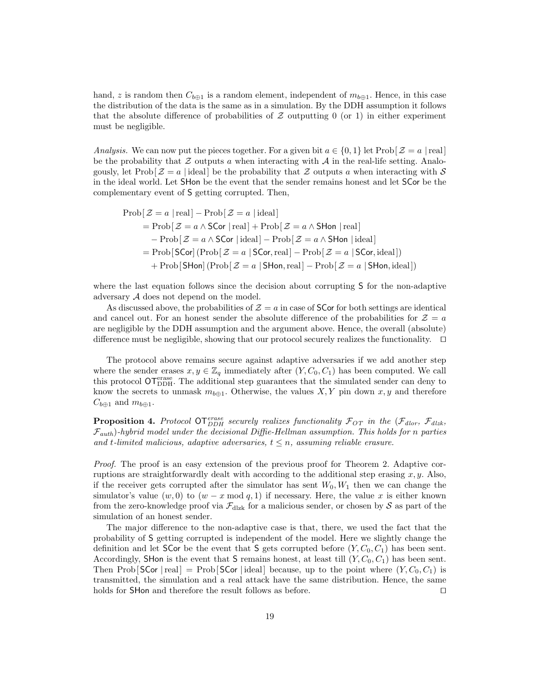hand, z is random then  $C_{b\oplus 1}$  is a random element, independent of  $m_{b\oplus 1}$ . Hence, in this case the distribution of the data is the same as in a simulation. By the DDH assumption it follows that the absolute difference of probabilities of  $Z$  outputting 0 (or 1) in either experiment must be negligible.

Analysis. We can now put the pieces together. For a given bit  $a \in \{0,1\}$  let Prob $[\mathcal{Z} = a \mid real]$ be the probability that  $\mathcal Z$  outputs a when interacting with  $\mathcal A$  in the real-life setting. Analogously, let  $\text{Prob}[\mathcal{Z} = a \mid \text{ideal}]$  be the probability that  $\mathcal Z$  outputs a when interacting with  $\mathcal S$ in the ideal world. Let SHon be the event that the sender remains honest and let SCor be the complementary event of S getting corrupted. Then,

$$
\text{Prob}[\mathcal{Z} = a \mid \text{real}] - \text{Prob}[\mathcal{Z} = a \mid \text{ideal}]
$$
\n
$$
= \text{Prob}[\mathcal{Z} = a \land \text{SCor} \mid \text{real}] + \text{Prob}[\mathcal{Z} = a \land \text{S Hon} \mid \text{real}]
$$
\n
$$
- \text{Prob}[\mathcal{Z} = a \land \text{SCor} \mid \text{ideal}] - \text{Prob}[\mathcal{Z} = a \land \text{S Hon} \mid \text{ideal}]
$$
\n
$$
= \text{Prob}[\text{SCor}]\left(\text{Prob}[\mathcal{Z} = a \mid \text{SCor}, \text{real}] - \text{Prob}[\mathcal{Z} = a \mid \text{SCor}, \text{ideal}]\right)
$$
\n
$$
+ \text{Prob}[\text{SHom}]\left(\text{Prob}[\mathcal{Z} = a \mid \text{SHom}, \text{real}] - \text{Prob}[\mathcal{Z} = a \mid \text{SHom}, \text{ideal}]\right)
$$

where the last equation follows since the decision about corrupting S for the non-adaptive adversary A does not depend on the model.

As discussed above, the probabilities of  $\mathcal{Z} = a$  in case of SCor for both settings are identical and cancel out. For an honest sender the absolute difference of the probabilities for  $\mathcal{Z} = a$ are negligible by the DDH assumption and the argument above. Hence, the overall (absolute) difference must be negligible, showing that our protocol securely realizes the functionality.  $\square$ 

The protocol above remains secure against adaptive adversaries if we add another step where the sender erases  $x, y \in \mathbb{Z}_q$  immediately after  $(Y, C_0, C_1)$  has been computed. We call this protocol OT<sub>DDH</sub>. The additional step guarantees that the simulated sender can deny to know the secrets to unmask  $m_{b\oplus 1}$ . Otherwise, the values X, Y pin down x, y and therefore  $C_{b\oplus 1}$  and  $m_{b\oplus 1}$ .

**Proposition 4.** Protocol  $\text{OT}_{DDH}^{erase}$  securely realizes functionality  $\mathcal{F}_{OT}$  in the  $(\mathcal{F}_{dlor}, \mathcal{F}_{dlzk},$  $\mathcal{F}_{auth}$ -hybrid model under the decisional Diffie-Hellman assumption. This holds for n parties and t-limited malicious, adaptive adversaries,  $t \leq n$ , assuming reliable erasure.

Proof. The proof is an easy extension of the previous proof for Theorem 2. Adaptive corruptions are straightforwardly dealt with according to the additional step erasing  $x, y$ . Also, if the receiver gets corrupted after the simulator has sent  $W_0, W_1$  then we can change the simulator's value  $(w, 0)$  to  $(w - x \mod q, 1)$  if necessary. Here, the value x is either known from the zero-knowledge proof via  $\mathcal{F}_{\text{dlzk}}$  for a malicious sender, or chosen by S as part of the simulation of an honest sender.

The major difference to the non-adaptive case is that, there, we used the fact that the probability of S getting corrupted is independent of the model. Here we slightly change the definition and let SCor be the event that S gets corrupted before  $(Y, C_0, C_1)$  has been sent. Accordingly, SHon is the event that S remains honest, at least till  $(Y, C_0, C_1)$  has been sent. Then Prob[SCor |real] = Prob[SCor |ideal] because, up to the point where  $(Y, C_0, C_1)$  is transmitted, the simulation and a real attack have the same distribution. Hence, the same holds for SHon and therefore the result follows as before.  $\Box$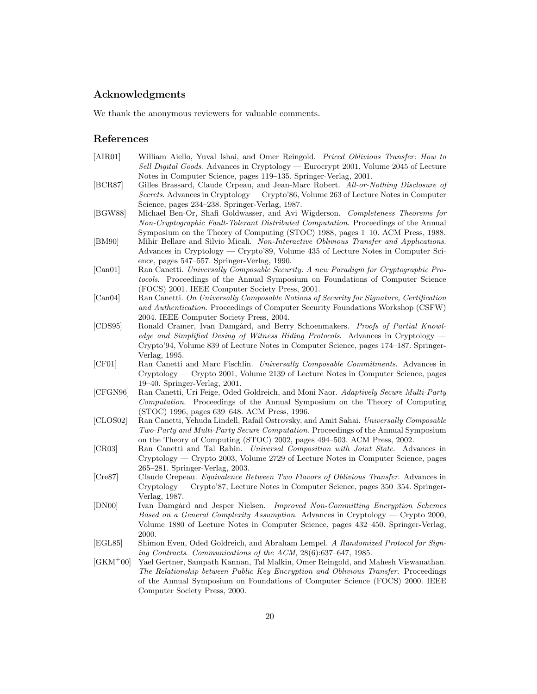# Acknowledgments

We thank the anonymous reviewers for valuable comments.

# References

| [AIR01]     | William Aiello, Yuval Ishai, and Omer Reingold. Priced Oblivious Transfer: How to<br>Sell Digital Goods. Advances in Cryptology — Eurocrypt 2001, Volume 2045 of Lecture                                                                                                                                               |
|-------------|------------------------------------------------------------------------------------------------------------------------------------------------------------------------------------------------------------------------------------------------------------------------------------------------------------------------|
| [BCR87]     | Notes in Computer Science, pages 119-135. Springer-Verlag, 2001.<br>Gilles Brassard, Claude Crpeau, and Jean-Marc Robert. All-or-Nothing Disclosure of<br>Secrets. Advances in Cryptology — Crypto'86, Volume 263 of Lecture Notes in Computer                                                                         |
| [BGW88]     | Science, pages 234-238. Springer-Verlag, 1987.<br>Michael Ben-Or, Shafi Goldwasser, and Avi Wigderson. Completeness Theorems for<br>Non-Cryptographic Fault-Tolerant Distributed Computation. Proceedings of the Annual                                                                                                |
| [BM90]      | Symposium on the Theory of Computing (STOC) 1988, pages 1–10. ACM Press, 1988.<br>Mihir Bellare and Silvio Micali. Non-Interactive Oblivious Transfer and Applications.<br>Advances in Cryptology — Crypto'89, Volume 435 of Lecture Notes in Computer Sci-                                                            |
| [Can01]     | ence, pages 547–557. Springer-Verlag, 1990.<br>Ran Canetti. Universally Composable Security: A new Paradigm for Cryptographic Pro-<br>tocols. Proceedings of the Annual Symposium on Foundations of Computer Science                                                                                                   |
| [Can04]     | (FOCS) 2001. IEEE Computer Society Press, 2001.<br>Ran Canetti. On Universally Composable Notions of Security for Signature, Certification<br>and Authentication. Proceedings of Computer Security Foundations Workshop (CSFW)                                                                                         |
| [CDS95]     | 2004. IEEE Computer Society Press, 2004.<br>Ronald Cramer, Ivan Damgård, and Berry Schoenmakers. Proofs of Partial Knowl-<br>edge and Simplified Desing of Witness Hiding Protocols. Advances in Cryptology —<br>Crypto'94, Volume 839 of Lecture Notes in Computer Science, pages 174-187. Springer-<br>Verlag, 1995. |
| [CF01]      | Ran Canetti and Marc Fischlin. Universally Composable Commitments. Advances in<br>Cryptology — Crypto 2001, Volume 2139 of Lecture Notes in Computer Science, pages                                                                                                                                                    |
| [CFGN96]    | $19-40.$ Springer-Verlag, 2001.<br>Ran Canetti, Uri Feige, Oded Goldreich, and Moni Naor. Adaptively Secure Multi-Party<br>Computation. Proceedings of the Annual Symposium on the Theory of Computing                                                                                                                 |
| [CLOS02]    | (STOC) 1996, pages 639–648. ACM Press, 1996.<br>Ran Canetti, Yehuda Lindell, Rafail Ostrovsky, and Amit Sahai. Universally Composable<br>Two-Party and Multi-Party Secure Computation. Proceedings of the Annual Symposium                                                                                             |
| [CR03]      | on the Theory of Computing (STOC) 2002, pages 494-503. ACM Press, 2002.<br>Ran Canetti and Tal Rabin. Universal Composition with Joint State. Advances in<br>Cryptology — Crypto 2003, Volume 2729 of Lecture Notes in Computer Science, pages                                                                         |
| [Cre87]     | 265–281. Springer-Verlag, 2003.<br>Claude Crepeau. Equivalence Between Two Flavors of Oblivious Transfer. Advances in<br>Cryptology — Crypto'87, Lecture Notes in Computer Science, pages 350–354. Springer-<br>Verlag, 1987.                                                                                          |
| [DN00]      | Ivan Damgard and Jesper Nielsen. <i>Improved Non-Committing Encryption Schemes</i><br>Based on a General Complexity Assumption. Advances in Cryptology — Crypto 2000,<br>Volume 1880 of Lecture Notes in Computer Science, pages 432-450. Springer-Verlag,<br>2000.                                                    |
| [ECL85]     | Shimon Even, Oded Goldreich, and Abraham Lempel. A Randomized Protocol for Sign-<br>ing Contracts. Communications of the ACM, 28(6):637-647, 1985.                                                                                                                                                                     |
| $[GKM^+00]$ | Yael Gertner, Sampath Kannan, Tal Malkin, Omer Reingold, and Mahesh Viswanathan.<br>The Relationship between Public Key Encryption and Oblivious Transfer. Proceedings<br>of the Annual Symposium on Foundations of Computer Science (FOCS) 2000. IEEE                                                                 |

Computer Society Press, 2000.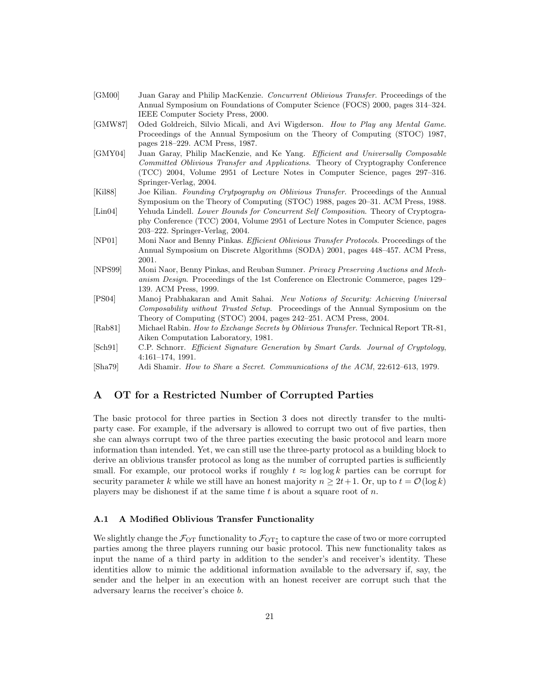| [GM00] | Juan Garay and Philip MacKenzie. <i>Concurrent Oblivious Transfer</i> . Proceedings of the |
|--------|--------------------------------------------------------------------------------------------|
|        | Annual Symposium on Foundations of Computer Science (FOCS) 2000, pages 314–324.            |
|        | IEEE Computer Society Press, 2000.                                                         |

- [GMW87] Oded Goldreich, Silvio Micali, and Avi Wigderson. How to Play any Mental Game. Proceedings of the Annual Symposium on the Theory of Computing (STOC) 1987, pages 218–229. ACM Press, 1987.
- [GMY04] Juan Garay, Philip MacKenzie, and Ke Yang. Efficient and Universally Composable Committed Oblivious Transfer and Applications. Theory of Cryptography Conference (TCC) 2004, Volume 2951 of Lecture Notes in Computer Science, pages 297–316. Springer-Verlag, 2004.
- [Kil88] Joe Kilian. Founding Crytpography on Oblivious Transfer. Proceedings of the Annual Symposium on the Theory of Computing (STOC) 1988, pages 20–31. ACM Press, 1988.
- [Lin04] Yehuda Lindell. Lower Bounds for Concurrent Self Composition. Theory of Cryptography Conference (TCC) 2004, Volume 2951 of Lecture Notes in Computer Science, pages 203–222. Springer-Verlag, 2004.
- [NP01] Moni Naor and Benny Pinkas. *Efficient Oblivious Transfer Protocols*. Proceedings of the Annual Symposium on Discrete Algorithms (SODA) 2001, pages 448–457. ACM Press, 2001.
- [NPS99] Moni Naor, Benny Pinkas, and Reuban Sumner. Privacy Preserving Auctions and Mechanism Design. Proceedings of the 1st Conference on Electronic Commerce, pages 129– 139. ACM Press, 1999.
- [PS04] Manoj Prabhakaran and Amit Sahai. New Notions of Security: Achieving Universal Composability without Trusted Setup. Proceedings of the Annual Symposium on the Theory of Computing (STOC) 2004, pages 242–251. ACM Press, 2004.
- [Rab81] Michael Rabin. How to Exchange Secrets by Oblivious Transfer. Technical Report TR-81, Aiken Computation Laboratory, 1981.
- [Sch91] C.P. Schnorr. Efficient Signature Generation by Smart Cards. Journal of Cryptology, 4:161–174, 1991.
- [Sha79] Adi Shamir. How to Share a Secret. Communications of the ACM, 22:612–613, 1979.

# A OT for a Restricted Number of Corrupted Parties

The basic protocol for three parties in Section 3 does not directly transfer to the multiparty case. For example, if the adversary is allowed to corrupt two out of five parties, then she can always corrupt two of the three parties executing the basic protocol and learn more information than intended. Yet, we can still use the three-party protocol as a building block to derive an oblivious transfer protocol as long as the number of corrupted parties is sufficiently small. For example, our protocol works if roughly  $t \approx \log \log k$  parties can be corrupt for security parameter k while we still have an honest majority  $n \geq 2t+1$ . Or, up to  $t = \mathcal{O}(\log k)$ players may be dishonest if at the same time  $t$  is about a square root of  $n$ .

# A.1 A Modified Oblivious Transfer Functionality

We slightly change the  $\mathcal{F}_{\text{OT}}$  functionality to  $\mathcal{F}_{\text{OT}_3^*}$  to capture the case of two or more corrupted parties among the three players running our basic protocol. This new functionality takes as input the name of a third party in addition to the sender's and receiver's identity. These identities allow to mimic the additional information available to the adversary if, say, the sender and the helper in an execution with an honest receiver are corrupt such that the adversary learns the receiver's choice b.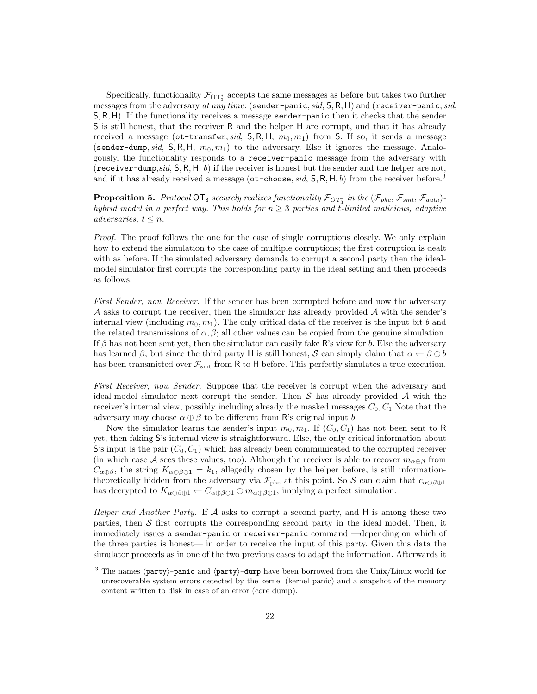Specifically, functionality  $\mathcal{F}_{\text{OT}_3^*}$  accepts the same messages as before but takes two further messages from the adversary at any time: (sender-panic, sid,  $S, R, H$ ) and (receiver-panic, sid, S, R, H). If the functionality receives a message sender-panic then it checks that the sender S is still honest, that the receiver R and the helper H are corrupt, and that it has already received a message (ot-transfer, sid,  $S, R, H, m_0, m_1$ ) from S. If so, it sends a message (sender-dump, sid,  $S, R, H, m_0, m_1$ ) to the adversary. Else it ignores the message. Analogously, the functionality responds to a receiver-panic message from the adversary with (receiver-dump, sid,  $S, R, H, b$ ) if the receiver is honest but the sender and the helper are not, and if it has already received a message ( $ot-choose$ , sid, S, R, H, b) from the receiver before.<sup>3</sup>

**Proposition 5.** Protocol OT<sub>3</sub> securely realizes functionality  $\mathcal{F}_{OT^*_3}$  in the  $(\mathcal{F}_{pke}, \mathcal{F}_{smt}, \mathcal{F}_{auth})$ hybrid model in a perfect way. This holds for  $n \geq 3$  parties and t-limited malicious, adaptive adversaries,  $t \leq n$ .

Proof. The proof follows the one for the case of single corruptions closely. We only explain how to extend the simulation to the case of multiple corruptions; the first corruption is dealt with as before. If the simulated adversary demands to corrupt a second party then the idealmodel simulator first corrupts the corresponding party in the ideal setting and then proceeds as follows:

First Sender, now Receiver. If the sender has been corrupted before and now the adversary  $\mathcal A$  asks to corrupt the receiver, then the simulator has already provided  $\mathcal A$  with the sender's internal view (including  $m_0, m_1$ ). The only critical data of the receiver is the input bit b and the related transmissions of  $\alpha, \beta$ ; all other values can be copied from the genuine simulation. If  $\beta$  has not been sent yet, then the simulator can easily fake R's view for b. Else the adversary has learned  $\beta$ , but since the third party H is still honest, S can simply claim that  $\alpha \leftarrow \beta \oplus b$ has been transmitted over  $\mathcal{F}_{\text{smt}}$  from R to H before. This perfectly simulates a true execution.

First Receiver, now Sender. Suppose that the receiver is corrupt when the adversary and ideal-model simulator next corrupt the sender. Then  $S$  has already provided  $A$  with the receiver's internal view, possibly including already the masked messages  $C_0, C_1$ . Note that the adversary may choose  $\alpha \oplus \beta$  to be different from R's original input b.

Now the simulator learns the sender's input  $m_0, m_1$ . If  $(C_0, C_1)$  has not been sent to R yet, then faking S's internal view is straightforward. Else, the only critical information about S's input is the pair  $(C_0, C_1)$  which has already been communicated to the corrupted receiver (in which case A sees these values, too). Although the receiver is able to recover  $m_{\alpha\beta\beta}$  from  $C_{\alpha \oplus \beta}$ , the string  $K_{\alpha \oplus \beta \oplus 1} = k_1$ , allegedly chosen by the helper before, is still informationtheoretically hidden from the adversary via  $\mathcal{F}_{\text{pke}}$  at this point. So S can claim that  $c_{\alpha\oplus\beta\oplus1}$ has decrypted to  $K_{\alpha \oplus \beta \oplus 1} \leftarrow C_{\alpha \oplus \beta \oplus 1} \oplus m_{\alpha \oplus \beta \oplus 1}$ , implying a perfect simulation.

Helper and Another Party. If  $\mathcal A$  asks to corrupt a second party, and  $H$  is among these two parties, then  $\mathcal S$  first corrupts the corresponding second party in the ideal model. Then, it immediately issues a sender-panic or receiver-panic command —depending on which of the three parties is honest— in order to receive the input of this party. Given this data the simulator proceeds as in one of the two previous cases to adapt the information. Afterwards it

 $3$  The names  $\langle$ party $\rangle$ -panic and  $\langle$ party $\rangle$ -dump have been borrowed from the Unix/Linux world for unrecoverable system errors detected by the kernel (kernel panic) and a snapshot of the memory content written to disk in case of an error (core dump).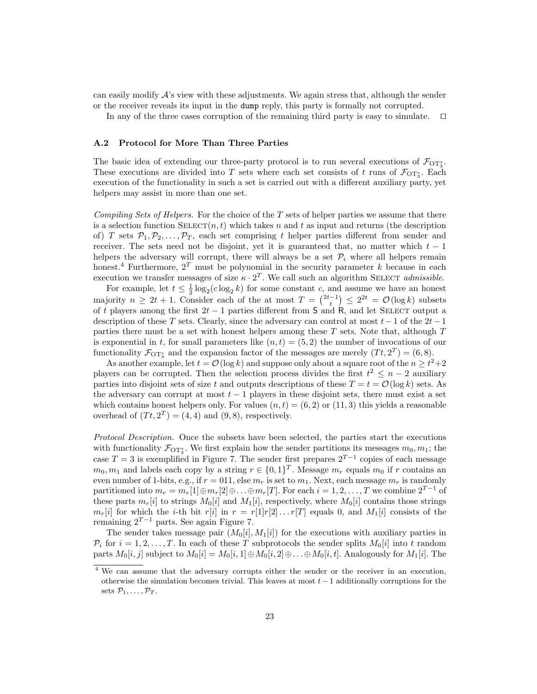can easily modify  $\mathcal{A}$ 's view with these adjustments. We again stress that, although the sender or the receiver reveals its input in the dump reply, this party is formally not corrupted.

In any of the three cases corruption of the remaining third party is easy to simulate.  $\square$ 

## A.2 Protocol for More Than Three Parties

The basic idea of extending our three-party protocol is to run several executions of  $\mathcal{F}_{\text{OT}_{3}^{*}}$ . These executions are divided into T sets where each set consists of t runs of  $\mathcal{F}_{\text{OT}_3^*}$ . Each execution of the functionality in such a set is carried out with a different auxiliary party, yet helpers may assist in more than one set.

Compiling Sets of Helpers. For the choice of the T sets of helper parties we assume that there is a selection function  $\text{SELECT}(n, t)$  which takes n and t as input and returns (the description of) T sets  $\mathcal{P}_1, \mathcal{P}_2, \ldots, \mathcal{P}_T$ , each set comprising t helper parties different from sender and receiver. The sets need not be disjoint, yet it is guaranteed that, no matter which  $t-1$ helpers the adversary will corrupt, there will always be a set  $\mathcal{P}_i$  where all helpers remain honest.<sup>4</sup> Furthermore,  $2^T$  must be polynomial in the security parameter k because in each execution we transfer messages of size  $\kappa \cdot 2^T$ . We call such an algorithm SELECT *admissible*.

For example, let  $t \leq \frac{1}{2} \log_2(c \log_2 k)$  for some constant c, and assume we have an honest For example, let  $t \leq \frac{1}{2} \log_2(\log_2 n)$  for some constant c, and assume we have an honest<br>majority  $n \geq 2t + 1$ . Consider each of the at most  $T = \binom{2t-1}{t} \leq 2^{2t} = \mathcal{O}(\log k)$  subsets of t players among the first  $2t - 1$  parties different from S and R, and let SELECT output a description of these T sets. Clearly, since the adversary can control at most  $t-1$  of the  $2t-1$ parties there must be a set with honest helpers among these  $T$  sets. Note that, although  $T$ is exponential in t, for small parameters like  $(n, t) = (5, 2)$  the number of invocations of our functionality  $\mathcal{F}_{\text{OT}_3^*}$  and the expansion factor of the messages are merely  $(Tt, 2^T) = (6, 8)$ .

As another example, let  $t = \mathcal{O}(\log k)$  and suppose only about a square root of the  $n \geq t^2 + 2$ players can be corrupted. Then the selection process divides the first  $t^2 \leq n-2$  auxiliary parties into disjoint sets of size t and outputs descriptions of these  $T = t = \mathcal{O}(\log k)$  sets. As the adversary can corrupt at most  $t - 1$  players in these disjoint sets, there must exist a set which contains honest helpers only. For values  $(n, t) = (6, 2)$  or  $(11, 3)$  this yields a reasonable overhead of  $(Tt, 2^T) = (4, 4)$  and  $(9, 8)$ , respectively.

Protocol Description. Once the subsets have been selected, the parties start the executions with functionality  $\mathcal{F}_{\text{OT}_3^*}$ . We first explain how the sender partitions its messages  $m_0, m_1$ ; the case  $T = 3$  is exemplified in Figure 7. The sender first prepares  $2^{T-1}$  copies of each message  $m_0, m_1$  and labels each copy by a string  $r \in \{0, 1\}^T$ . Message  $m_r$  equals  $m_0$  if r contains an even number of 1-bits, e.g., if  $r = 011$ , else  $m_r$  is set to  $m_1$ . Next, each message  $m_r$  is randomly partitioned into  $m_r = m_r[1] \oplus m_r[2] \oplus \ldots \oplus m_r[T]$ . For each  $i = 1, 2, \ldots, T$  we combine  $2^{T-1}$  of these parts  $m_r[i]$  to strings  $M_0[i]$  and  $M_1[i]$ , respectively, where  $M_0[i]$  contains those strings  $m_r[i]$  for which the *i*-th bit  $r[i]$  in  $r = r[1]r[2] \ldots r[T]$  equals 0, and  $M_1[i]$  consists of the remaining  $2^{T-1}$  parts. See again Figure 7.

The sender takes message pair  $(M_0[i], M_1[i])$  for the executions with auxiliary parties in  $P_i$  for  $i = 1, 2, ..., T$ . In each of these T subprotocols the sender splits  $M_0[i]$  into t random parts  $M_0[i, j]$  subject to  $M_0[i] = M_0[i, 1] \oplus M_0[i, 2] \oplus \ldots \oplus M_0[i, t]$ . Analogously for  $M_1[i]$ . The

<sup>&</sup>lt;sup>4</sup> We can assume that the adversary corrupts either the sender or the receiver in an execution, otherwise the simulation becomes trivial. This leaves at most  $t-1$  additionally corruptions for the sets  $\mathcal{P}_1,\ldots,\mathcal{P}_T$ .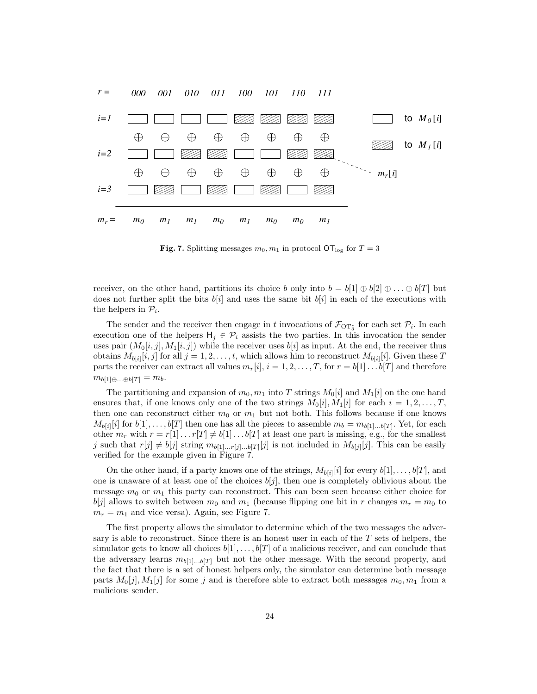

**Fig. 7.** Splitting messages  $m_0, m_1$  in protocol  $\text{OT}_{\text{log}}$  for  $T = 3$ 

receiver, on the other hand, partitions its choice b only into  $b = b[1] \oplus b[2] \oplus \ldots \oplus b[T]$  but does not further split the bits  $b[i]$  and uses the same bit  $b[i]$  in each of the executions with the helpers in  $\mathcal{P}_i$ .

The sender and the receiver then engage in t invocations of  $\mathcal{F}_{\text{OT}_3^*}$  for each set  $\mathcal{P}_i$ . In each execution one of the helpers  $H_i \in \mathcal{P}_i$  assists the two parties. In this invocation the sender uses pair  $(M_0[i, j], M_1[i, j])$  while the receiver uses  $b[i]$  as input. At the end, the receiver thus obtains  $M_{b[i]}[i,j]$  for all  $j = 1, 2, \ldots, t$ , which allows him to reconstruct  $M_{b[i]}[i]$ . Given these T parts the receiver can extract all values  $m_r[i], i = 1, 2, ..., T$ , for  $r = b[1] \dots b[T]$  and therefore  $m_{b[1]\oplus \ldots \oplus b[T]} = m_b.$ 

The partitioning and expansion of  $m_0, m_1$  into T strings  $M_0[i]$  and  $M_1[i]$  on the one hand ensures that, if one knows only one of the two strings  $M_0[i], M_1[i]$  for each  $i = 1, 2, \ldots, T$ , then one can reconstruct either  $m_0$  or  $m_1$  but not both. This follows because if one knows  $M_{b[i]}[i]$  for  $b[1], \ldots, b[T]$  then one has all the pieces to assemble  $m_b = m_{b[1], \ldots, b[T]}$ . Yet, for each other  $m_r$  with  $r = r[1] \dots r[T] \neq b[1] \dots b[T]$  at least one part is missing, e.g., for the smallest j such that  $r[j] \neq b[j]$  string  $m_{b[1], \ldots r[j], \ldots b[T]}[j]$  is not included in  $M_{b[j]}[j]$ . This can be easily verified for the example given in Figure 7.

On the other hand, if a party knows one of the strings,  $M_{b[i]}[i]$  for every  $b[1], \ldots, b[T]$ , and one is unaware of at least one of the choices  $b[j]$ , then one is completely oblivious about the message  $m_0$  or  $m_1$  this party can reconstruct. This can been seen because either choice for  $b[j]$  allows to switch between  $m_0$  and  $m_1$  (because flipping one bit in r changes  $m_r = m_0$  to  $m_r = m_1$  and vice versa). Again, see Figure 7.

The first property allows the simulator to determine which of the two messages the adversary is able to reconstruct. Since there is an honest user in each of the  $T$  sets of helpers, the simulator gets to know all choices  $b[1], \ldots, b[T]$  of a malicious receiver, and can conclude that the adversary learns  $m_{b[1]...b[T]}$  but not the other message. With the second property, and the fact that there is a set of honest helpers only, the simulator can determine both message parts  $M_0[j], M_1[j]$  for some j and is therefore able to extract both messages  $m_0, m_1$  from a malicious sender.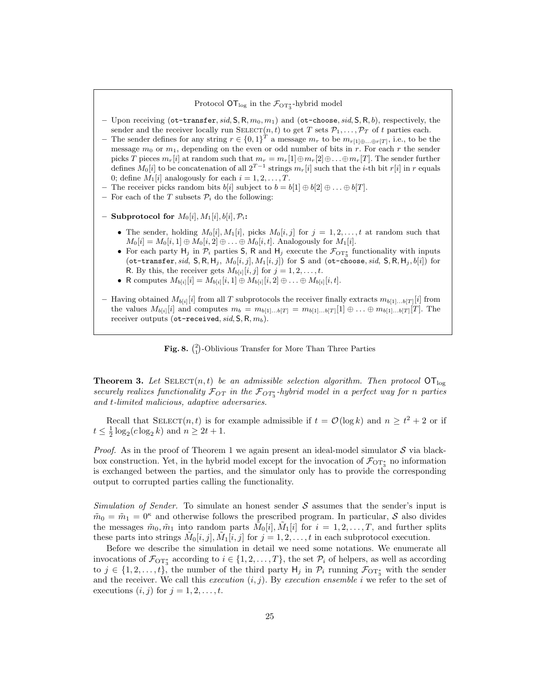# Protocol  $\mathsf{OT}_{\log}$  in the  $\mathcal{F}_{\mathbf{OT}_3^*}$ -hybrid model

- Upon receiving (ot-transfer, sid, S, R,  $m_0$ ,  $m_1$ ) and (ot-choose, sid, S, R, b), respectively, the sender and the receiver locally run SELECT $(n, t)$  to get T sets  $P_1, \ldots, P_T$  of t parties each.
- The sender defines for any string  $r \in \{0,1\}^T$  a message  $m_r$  to be  $m_{r[1]\oplus...\oplus r[T]}$ , i.e., to be the message  $m_0$  or  $m_1$ , depending on the even or odd number of bits in r. For each r the sender picks T pieces  $m_r[i]$  at random such that  $m_r = m_r[1] \oplus m_r[2] \oplus \ldots \oplus m_r[T]$ . The sender further defines  $M_0[i]$  to be concatenation of all  $2^{T-1}$  strings  $m_r[i]$  such that the *i*-th bit r[i] in r equals 0; define  $M_1[i]$  analogously for each  $i = 1, 2, \ldots, T$ .
- The receiver picks random bits  $b[i]$  subject to  $b = b[1] \oplus b[2] \oplus \ldots \oplus b[T]$ .
- For each of the  $T$  subsets  $\mathcal{P}_i$  do the following:
- Subprotocol for  $M_0[i], M_1[i], b[i], \mathcal{P}_i$ :
	- The sender, holding  $M_0[i], M_1[i]$ , picks  $M_0[i,j]$  for  $j = 1, 2, \ldots, t$  at random such that  $M_0[i] = M_0[i, 1] \oplus M_0[i, 2] \oplus \ldots \oplus M_0[i, t]$ . Analogously for  $M_1[i]$ .
	- For each party  $H_j$  in  $\mathcal{P}_i$  parties S, R and  $H_j$  execute the  $\mathcal{F}_{\text{OT}_3^*}$  functionality with inputs (ot-transfer, sid, S, R, H<sub>j</sub>, M<sub>0</sub>[i, j], M<sub>1</sub>[i, j]) for S and (ot-choose, sid, S, R, H<sub>j</sub>, b[i]) for R. By this, the receiver gets  $M_{b[i]}[i,j]$  for  $j = 1, 2, \ldots, t$ .
	- R computes  $M_{b[i]}[i] = M_{b[i]}[i,1] \oplus M_{b[i]}[i,2] \oplus \ldots \oplus M_{b[i]}[i,t].$
- Having obtained  $M_{b[i]}[i]$  from all T subprotocols the receiver finally extracts  $m_{b[1]...b[T]}[i]$  from the values  $M_{b[i]}[i]$  and computes  $m_b = m_{b[1]...b[T]} = m_{b[1]...b[T]}[1] \oplus ... \oplus m_{b[1]...b[T]}[T]$ . The receiver outputs (ot-received,  $sid$ , S, R,  $m_b$ ).

Fig. 8.  $\binom{2}{1}$ -Oblivious Transfer for More Than Three Parties

**Theorem 3.** Let  $\text{SELECT}(n, t)$  be an admissible selection algorithm. Then protocol  $\text{OT}_{\text{loc}}$ securely realizes functionality  $\mathcal{F}_{OT}$  in the  $\mathcal{F}_{OT^*_3}$ -hybrid model in a perfect way for n parties and t-limited malicious, adaptive adversaries.

Recall that  $\text{SELECT}(n, t)$  is for example admissible if  $t = \mathcal{O}(\log k)$  and  $n \geq t^2 + 2$  or if  $t \leq \frac{1}{2} \log_2(c \log_2 k)$  and  $n \geq 2t + 1$ .

*Proof.* As in the proof of Theorem 1 we again present an ideal-model simulator  $S$  via blackbox construction. Yet, in the hybrid model except for the invocation of  $\mathcal{F}_{\text{OT}_3^*}$  no information is exchanged between the parties, and the simulator only has to provide the corresponding output to corrupted parties calling the functionality.

Simulation of Sender. To simulate an honest sender  $S$  assumes that the sender's input is  $\tilde{m}_0 = \tilde{m}_1 = 0^{\kappa}$  and otherwise follows the prescribed program. In particular, S also divides the messages  $\tilde{m}_0, \tilde{m}_1$  into random parts  $\tilde{M}_0[i], \tilde{M}_1[i]$  for  $i = 1, 2, \ldots, T$ , and further splits these parts into strings  $\tilde{M}_0[i, j], \tilde{M}_1[i, j]$  for  $j = 1, 2, \ldots, t$  in each subprotocol execution.

Before we describe the simulation in detail we need some notations. We enumerate all invocations of  $\mathcal{F}_{\text{OT}_3^*}$  according to  $i \in \{1, 2, ..., T\}$ , the set  $\mathcal{P}_i$  of helpers, as well as according to  $j \in \{1, 2, \ldots, t\}$ , the number of the third party  $H_j$  in  $\mathcal{P}_i$  running  $\mathcal{F}_{\text{OT}_3^*}$  with the sender and the receiver. We call this execution  $(i, j)$ . By execution ensemble i we refer to the set of executions  $(i, j)$  for  $j = 1, 2, \ldots, t$ .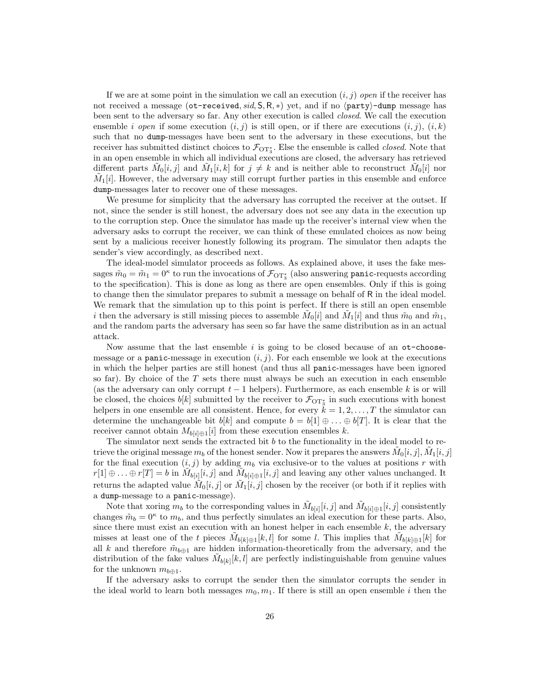If we are at some point in the simulation we call an execution  $(i, j)$  open if the receiver has not received a message (ot-received, sid, S, R, \*) yet, and if no  $\langle$  party $\rangle$ -dump message has been sent to the adversary so far. Any other execution is called closed. We call the execution ensemble i open if some execution  $(i, j)$  is still open, or if there are executions  $(i, j)$ ,  $(i, k)$ such that no dump-messages have been sent to the adversary in these executions, but the receiver has submitted distinct choices to  $\mathcal{F}_{\text{OT}_3^*}$ . Else the ensemble is called *closed*. Note that in an open ensemble in which all individual executions are closed, the adversary has retrieved different parts  $\tilde{M}_0[i,j]$  and  $\tilde{M}_1[i,k]$  for  $j \neq k$  and is neither able to reconstruct  $\tilde{M}_0[i]$  nor  $\tilde{M}_1[i]$ . However, the adversary may still corrupt further parties in this ensemble and enforce dump-messages later to recover one of these messages.

We presume for simplicity that the adversary has corrupted the receiver at the outset. If not, since the sender is still honest, the adversary does not see any data in the execution up to the corruption step. Once the simulator has made up the receiver's internal view when the adversary asks to corrupt the receiver, we can think of these emulated choices as now being sent by a malicious receiver honestly following its program. The simulator then adapts the sender's view accordingly, as described next.

The ideal-model simulator proceeds as follows. As explained above, it uses the fake messages  $\tilde{m}_0 = \tilde{m}_1 = 0^{\kappa}$  to run the invocations of  $\mathcal{F}_{\text{OT}_3^*}$  (also answering panic-requests according to the specification). This is done as long as there are open ensembles. Only if this is going to change then the simulator prepares to submit a message on behalf of R in the ideal model. We remark that the simulation up to this point is perfect. If there is still an open ensemble i then the adversary is still missing pieces to assemble  $\tilde{M}_0[i]$  and  $\tilde{M}_1[i]$  and thus  $\tilde{m}_0$  and  $\tilde{m}_1$ , and the random parts the adversary has seen so far have the same distribution as in an actual attack.

Now assume that the last ensemble  $i$  is going to be closed because of an ot-choosemessage or a **panic-message** in execution  $(i, j)$ . For each ensemble we look at the executions in which the helper parties are still honest (and thus all panic-messages have been ignored so far). By choice of the  $T$  sets there must always be such an execution in each ensemble (as the adversary can only corrupt  $t - 1$  helpers). Furthermore, as each ensemble k is or will be closed, the choices  $b[k]$  submitted by the receiver to  $\mathcal{F}_{\text{OT}_3^*}$  in such executions with honest helpers in one ensemble are all consistent. Hence, for every  $\tilde{k} = 1, 2, \ldots, T$  the simulator can determine the unchangeable bit  $b[k]$  and compute  $b = b[1] \oplus \ldots \oplus b[T]$ . It is clear that the receiver cannot obtain  $M_{b[i] \oplus 1}[i]$  from these execution ensembles k.

The simulator next sends the extracted bit  $b$  to the functionality in the ideal model to retrieve the original message  $m_b$  of the honest sender. Now it prepares the answers  $\tilde{M}_0[i,j], \tilde{M}_1[i,j]$ for the final execution  $(i, j)$  by adding  $m_b$  via exclusive-or to the values at positions r with  $r[1] \oplus \ldots \oplus r[T] = b$  in  $\widetilde{M}_{b[i]}[i,j]$  and  $\widetilde{M}_{b[i] \oplus 1}[i,j]$  and leaving any other values unchanged. It returns the adapted value  $\tilde{M}_0[i, j]$  or  $\tilde{M}_1[i, j]$  chosen by the receiver (or both if it replies with a dump-message to a panic-message).

Note that xoring  $m_b$  to the corresponding values in  $\tilde{M}_{b[i]}[i,j]$  and  $\tilde{M}_{b[i]\oplus 1}[i,j]$  consistently changes  $\tilde{m}_b = 0^{\kappa}$  to  $m_b$ , and thus perfectly simulates an ideal execution for these parts. Also, since there must exist an execution with an honest helper in each ensemble  $k$ , the adversary misses at least one of the t pieces  $\tilde{M}_{b[k]\oplus 1}[k,l]$  for some l. This implies that  $\tilde{M}_{b[k]\oplus 1}[k]$  for all k and therefore  $\tilde{m}_{b\oplus 1}$  are hidden information-theoretically from the adversary, and the distribution of the fake values  $\tilde{M}_{b[k]}[k,l]$  are perfectly indistinguishable from genuine values for the unknown  $m_{b \oplus 1}$ .

If the adversary asks to corrupt the sender then the simulator corrupts the sender in the ideal world to learn both messages  $m_0, m_1$ . If there is still an open ensemble i then the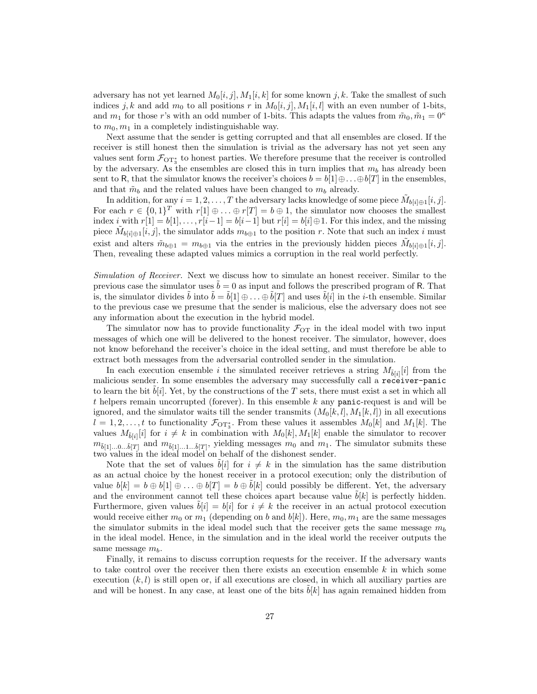adversary has not yet learned  $M_0[i, j], M_1[i, k]$  for some known  $j, k$ . Take the smallest of such indices j, k and add  $m_0$  to all positions r in  $M_0[i, j], M_1[i, l]$  with an even number of 1-bits, and  $m_1$  for those r's with an odd number of 1-bits. This adapts the values from  $\tilde{m}_0, \tilde{m}_1 = 0^{\kappa}$ to  $m_0, m_1$  in a completely indistinguishable way.

Next assume that the sender is getting corrupted and that all ensembles are closed. If the receiver is still honest then the simulation is trivial as the adversary has not yet seen any values sent form  $\mathcal{F}_{\text{OT}_3^*}$  to honest parties. We therefore presume that the receiver is controlled by the adversary. As the ensembles are closed this in turn implies that  $m_b$  has already been sent to R, that the simulator knows the receiver's choices  $b = b[1] \oplus \ldots \oplus b[T]$  in the ensembles, and that  $\tilde{m}_b$  and the related values have been changed to  $m_b$  already.

In addition, for any  $i = 1, 2, ..., T$  the adversary lacks knowledge of some piece  $\tilde{M}_{b[i]\oplus 1}[i, j]$ . For each  $r \in \{0,1\}^T$  with  $r[1] \oplus \ldots \oplus r[T] = b \oplus 1$ , the simulator now chooses the smallest index i with  $r[1] = b[1], \ldots, r[i-1] = b[i-1]$  but  $r[i] = b[i] \oplus 1$ . For this index, and the missing piece  $\tilde{M}_{b[i]\oplus 1}[i,j]$ , the simulator adds  $m_{b\oplus 1}$  to the position r. Note that such an index i must exist and alters  $\tilde{m}_{b\oplus 1} = m_{b\oplus 1}$  via the entries in the previously hidden pieces  $\tilde{M}_{b[i]\oplus 1}[i,j]$ . Then, revealing these adapted values mimics a corruption in the real world perfectly.

Simulation of Receiver. Next we discuss how to simulate an honest receiver. Similar to the previous case the simulator uses  $b = 0$  as input and follows the prescribed program of R. That is, the simulator divides b into  $b = b[1] \oplus \ldots \oplus b[T]$  and uses  $b[i]$  in the i-th ensemble. Similar to the previous case we presume that the sender is malicious, else the adversary does not see any information about the execution in the hybrid model.

The simulator now has to provide functionality  $\mathcal{F}_{\text{OT}}$  in the ideal model with two input messages of which one will be delivered to the honest receiver. The simulator, however, does not know beforehand the receiver's choice in the ideal setting, and must therefore be able to extract both messages from the adversarial controlled sender in the simulation.

In each execution ensemble i the simulated receiver retrieves a string  $M_{\tilde{b}[i]}[i]$  from the malicious sender. In some ensembles the adversary may successfully call a receiver-panic to learn the bit  $\tilde{b}[i]$ . Yet, by the constructions of the T sets, there must exist a set in which all t helpers remain uncorrupted (forever). In this ensemble  $k$  any panic-request is and will be ignored, and the simulator waits till the sender transmits  $(M_0[k, l], M_1[k, l])$  in all executions  $l = 1, 2, \ldots, t$  to functionality  $\mathcal{F}_{\text{OT}_3^*}$ . From these values it assembles  $M_0[k]$  and  $M_1[k]$ . The values  $M_{\tilde{b}[i]}[i]$  for  $i \neq k$  in combination with  $M_0[k], M_1[k]$  enable the simulator to recover  $m_{\tilde{b}[1],..0,..,\tilde{b}[T]}$  and  $m_{\tilde{b}[1],..1,..,\tilde{b}[T]}$ , yielding messages  $m_0$  and  $m_1$ . The simulator submits these two values in the ideal model on behalf of the dishonest sender.

Note that the set of values  $b[i]$  for  $i \neq k$  in the simulation has the same distribution as an actual choice by the honest receiver in a protocol execution; only the distribution of value  $b[k] = b \oplus b[1] \oplus \ldots \oplus b[T] = b \oplus b[k]$  could possibly be different. Yet, the adversary and the environment cannot tell these choices apart because value  $\tilde{b}[k]$  is perfectly hidden. Furthermore, given values  $b[i] = b[i]$  for  $i \neq k$  the receiver in an actual protocol execution would receive either  $m_0$  or  $m_1$  (depending on b and b[k]). Here,  $m_0, m_1$  are the same messages the simulator submits in the ideal model such that the receiver gets the same message  $m_b$ in the ideal model. Hence, in the simulation and in the ideal world the receiver outputs the same message  $m<sub>b</sub>$ .

Finally, it remains to discuss corruption requests for the receiver. If the adversary wants to take control over the receiver then there exists an execution ensemble  $k$  in which some execution  $(k, l)$  is still open or, if all executions are closed, in which all auxiliary parties are and will be honest. In any case, at least one of the bits  $b[k]$  has again remained hidden from